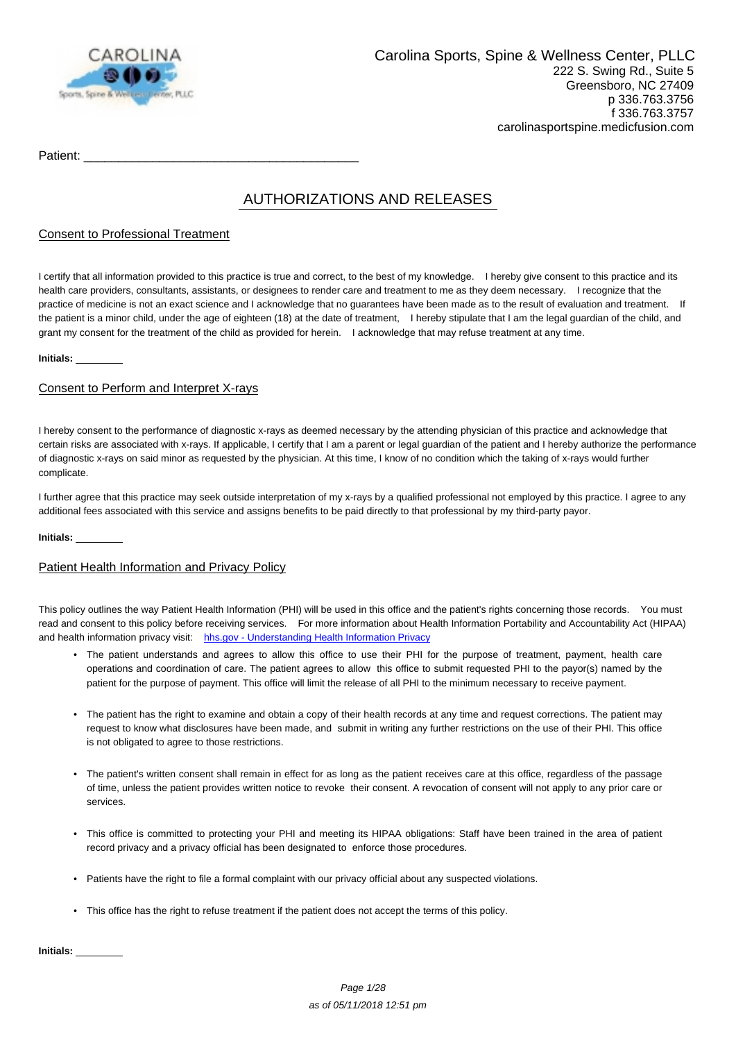

Patient:

# AUTHORIZATIONS AND RELEASES

### Consent to Professional Treatment

I certify that all information provided to this practice is true and correct, to the best of my knowledge. I hereby give consent to this practice and its health care providers, consultants, assistants, or designees to render care and treatment to me as they deem necessary. I recognize that the practice of medicine is not an exact science and I acknowledge that no guarantees have been made as to the result of evaluation and treatment. If the patient is a minor child, under the age of eighteen (18) at the date of treatment, I hereby stipulate that I am the legal guardian of the child, and grant my consent for the treatment of the child as provided for herein. I acknowledge that may refuse treatment at any time.

#### **Initials:**

### Consent to Perform and Interpret X-rays

I hereby consent to the performance of diagnostic x-rays as deemed necessary by the attending physician of this practice and acknowledge that certain risks are associated with x-rays. If applicable, I certify that I am a parent or legal guardian of the patient and I hereby authorize the performance of diagnostic x-rays on said minor as requested by the physician. At this time, I know of no condition which the taking of x-rays would further complicate.

I further agree that this practice may seek outside interpretation of my x-rays by a qualified professional not employed by this practice. I agree to any additional fees associated with this service and assigns benefits to be paid directly to that professional by my third-party payor.

#### **Initials:**

### Patient Health Information and Privacy Policy

This policy outlines the way Patient Health Information (PHI) will be used in this office and the patient's rights concerning those records. You must read and consent to this policy before receiving services. For more information about Health Information Portability and Accountability Act (HIPAA) and health information privacy visit: [hhs.gov - Understanding Health Information Privacy](http://www.hhs.gov/ocr/privacy/hipaa/understanding/index.html)

- The patient understands and agrees to allow this office to use their PHI for the purpose of treatment, payment, health care operations and coordination of care. The patient agrees to allow this office to submit requested PHI to the payor(s) named by the patient for the purpose of payment. This office will limit the release of all PHI to the minimum necessary to receive payment.
- The patient has the right to examine and obtain a copy of their health records at any time and request corrections. The patient may request to know what disclosures have been made, and submit in writing any further restrictions on the use of their PHI. This office is not obligated to agree to those restrictions.
- The patient's written consent shall remain in effect for as long as the patient receives care at this office, regardless of the passage of time, unless the patient provides written notice to revoke their consent. A revocation of consent will not apply to any prior care or services.
- This office is committed to protecting your PHI and meeting its HIPAA obligations: Staff have been trained in the area of patient record privacy and a privacy official has been designated to enforce those procedures.
- Patients have the right to file a formal complaint with our privacy official about any suspected violations.
- This office has the right to refuse treatment if the patient does not accept the terms of this policy.

**Initials:**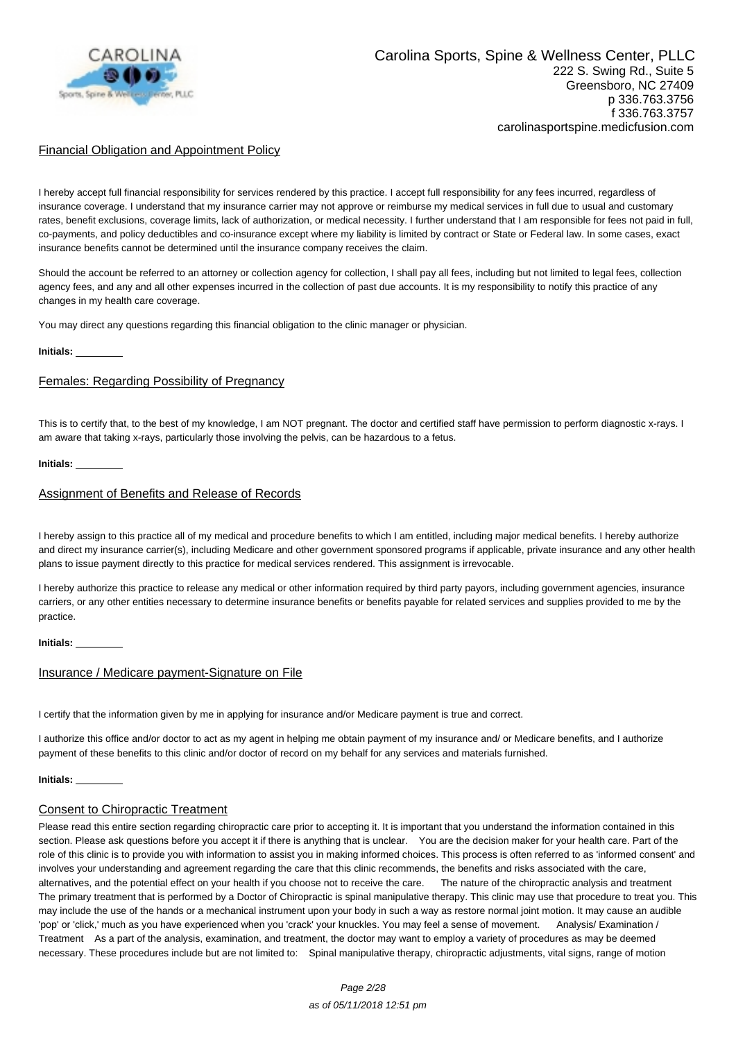

### Financial Obligation and Appointment Policy

I hereby accept full financial responsibility for services rendered by this practice. I accept full responsibility for any fees incurred, regardless of insurance coverage. I understand that my insurance carrier may not approve or reimburse my medical services in full due to usual and customary rates, benefit exclusions, coverage limits, lack of authorization, or medical necessity. I further understand that I am responsible for fees not paid in full, co-payments, and policy deductibles and co-insurance except where my liability is limited by contract or State or Federal law. In some cases, exact insurance benefits cannot be determined until the insurance company receives the claim.

Should the account be referred to an attorney or collection agency for collection, I shall pay all fees, including but not limited to legal fees, collection agency fees, and any and all other expenses incurred in the collection of past due accounts. It is my responsibility to notify this practice of any changes in my health care coverage.

You may direct any questions regarding this financial obligation to the clinic manager or physician.

#### **Initials:**

#### Females: Regarding Possibility of Pregnancy

This is to certify that, to the best of my knowledge, I am NOT pregnant. The doctor and certified staff have permission to perform diagnostic x-rays. I am aware that taking x-rays, particularly those involving the pelvis, can be hazardous to a fetus.

#### **Initials:**

#### Assignment of Benefits and Release of Records

I hereby assign to this practice all of my medical and procedure benefits to which I am entitled, including major medical benefits. I hereby authorize and direct my insurance carrier(s), including Medicare and other government sponsored programs if applicable, private insurance and any other health plans to issue payment directly to this practice for medical services rendered. This assignment is irrevocable.

I hereby authorize this practice to release any medical or other information required by third party payors, including government agencies, insurance carriers, or any other entities necessary to determine insurance benefits or benefits payable for related services and supplies provided to me by the practice.

#### **Initials:**

#### Insurance / Medicare payment-Signature on File

I certify that the information given by me in applying for insurance and/or Medicare payment is true and correct.

I authorize this office and/or doctor to act as my agent in helping me obtain payment of my insurance and/ or Medicare benefits, and I authorize payment of these benefits to this clinic and/or doctor of record on my behalf for any services and materials furnished.

#### **Initials:**

#### Consent to Chiropractic Treatment

Please read this entire section regarding chiropractic care prior to accepting it. It is important that you understand the information contained in this section. Please ask questions before you accept it if there is anything that is unclear. You are the decision maker for your health care. Part of the role of this clinic is to provide you with information to assist you in making informed choices. This process is often referred to as 'informed consent' and involves your understanding and agreement regarding the care that this clinic recommends, the benefits and risks associated with the care, alternatives, and the potential effect on your health if you choose not to receive the care. The nature of the chiropractic analysis and treatment The primary treatment that is performed by a Doctor of Chiropractic is spinal manipulative therapy. This clinic may use that procedure to treat you. This may include the use of the hands or a mechanical instrument upon your body in such a way as restore normal joint motion. It may cause an audible 'pop' or 'click,' much as you have experienced when you 'crack' your knuckles. You may feel a sense of movement. Analysis/ Examination / Treatment As a part of the analysis, examination, and treatment, the doctor may want to employ a variety of procedures as may be deemed necessary. These procedures include but are not limited to: Spinal manipulative therapy, chiropractic adjustments, vital signs, range of motion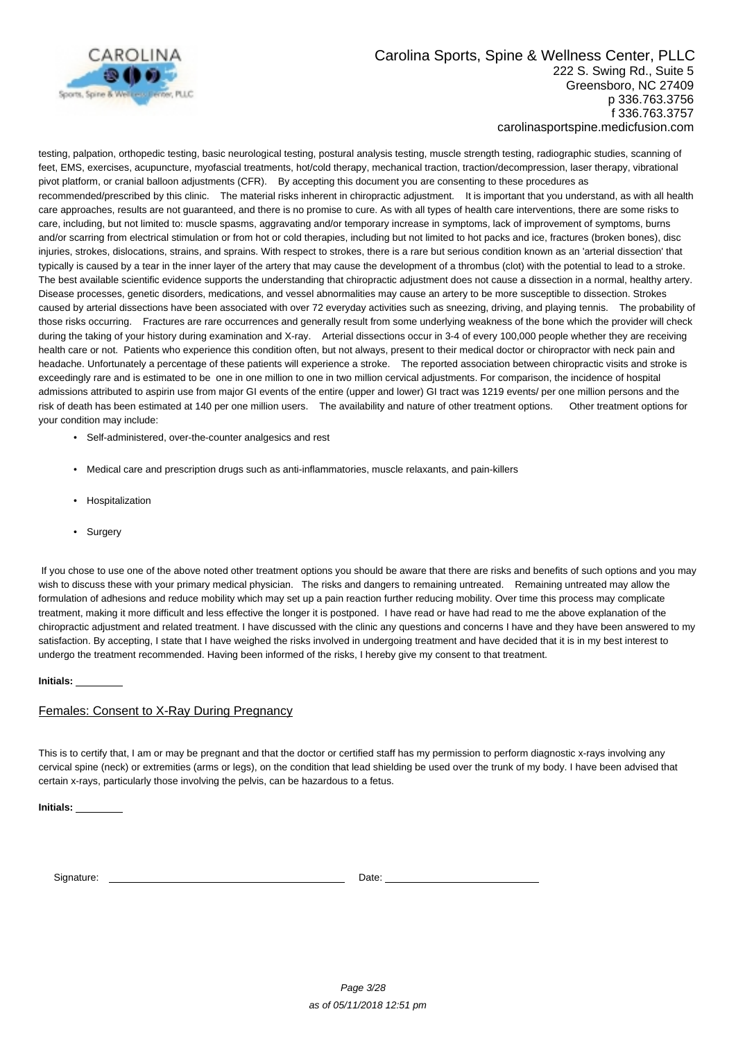

testing, palpation, orthopedic testing, basic neurological testing, postural analysis testing, muscle strength testing, radiographic studies, scanning of feet, EMS, exercises, acupuncture, myofascial treatments, hot/cold therapy, mechanical traction, traction/decompression, laser therapy, vibrational pivot platform, or cranial balloon adjustments (CFR). By accepting this document you are consenting to these procedures as recommended/prescribed by this clinic. The material risks inherent in chiropractic adjustment. It is important that you understand, as with all health care approaches, results are not guaranteed, and there is no promise to cure. As with all types of health care interventions, there are some risks to care, including, but not limited to: muscle spasms, aggravating and/or temporary increase in symptoms, lack of improvement of symptoms, burns and/or scarring from electrical stimulation or from hot or cold therapies, including but not limited to hot packs and ice, fractures (broken bones), disc injuries, strokes, dislocations, strains, and sprains. With respect to strokes, there is a rare but serious condition known as an 'arterial dissection' that typically is caused by a tear in the inner layer of the artery that may cause the development of a thrombus (clot) with the potential to lead to a stroke. The best available scientific evidence supports the understanding that chiropractic adjustment does not cause a dissection in a normal, healthy artery. Disease processes, genetic disorders, medications, and vessel abnormalities may cause an artery to be more susceptible to dissection. Strokes caused by arterial dissections have been associated with over 72 everyday activities such as sneezing, driving, and playing tennis. The probability of those risks occurring. Fractures are rare occurrences and generally result from some underlying weakness of the bone which the provider will check during the taking of your history during examination and X-ray. Arterial dissections occur in 3-4 of every 100,000 people whether they are receiving health care or not. Patients who experience this condition often, but not always, present to their medical doctor or chiropractor with neck pain and headache. Unfortunately a percentage of these patients will experience a stroke. The reported association between chiropractic visits and stroke is exceedingly rare and is estimated to be one in one million to one in two million cervical adjustments. For comparison, the incidence of hospital admissions attributed to aspirin use from major GI events of the entire (upper and lower) GI tract was 1219 events/ per one million persons and the risk of death has been estimated at 140 per one million users. The availability and nature of other treatment options. Other treatment options for your condition may include:

- Self-administered, over-the-counter analgesics and rest
- Medical care and prescription drugs such as anti-inflammatories, muscle relaxants, and pain-killers
- Hospitalization
- Surgery

 If you chose to use one of the above noted other treatment options you should be aware that there are risks and benefits of such options and you may wish to discuss these with your primary medical physician. The risks and dangers to remaining untreated. Remaining untreated may allow the formulation of adhesions and reduce mobility which may set up a pain reaction further reducing mobility. Over time this process may complicate treatment, making it more difficult and less effective the longer it is postponed. I have read or have had read to me the above explanation of the chiropractic adjustment and related treatment. I have discussed with the clinic any questions and concerns I have and they have been answered to my satisfaction. By accepting, I state that I have weighed the risks involved in undergoing treatment and have decided that it is in my best interest to undergo the treatment recommended. Having been informed of the risks, I hereby give my consent to that treatment.

**Initials:** 

#### Females: Consent to X-Ray During Pregnancy

This is to certify that, I am or may be pregnant and that the doctor or certified staff has my permission to perform diagnostic x-rays involving any cervical spine (neck) or extremities (arms or legs), on the condition that lead shielding be used over the trunk of my body. I have been advised that certain x-rays, particularly those involving the pelvis, can be hazardous to a fetus.

**Initials:** 

Signature: Date: Date: Date: Date: Date: Date: Date: Date: Date: Date: Date: Date: Date: Date: Date: Date: Date: Date: Date: Date: Date: Date: Date: Date: Date: Date: Date: Date: Date: Date: Date: Date: Date: Date: Date: D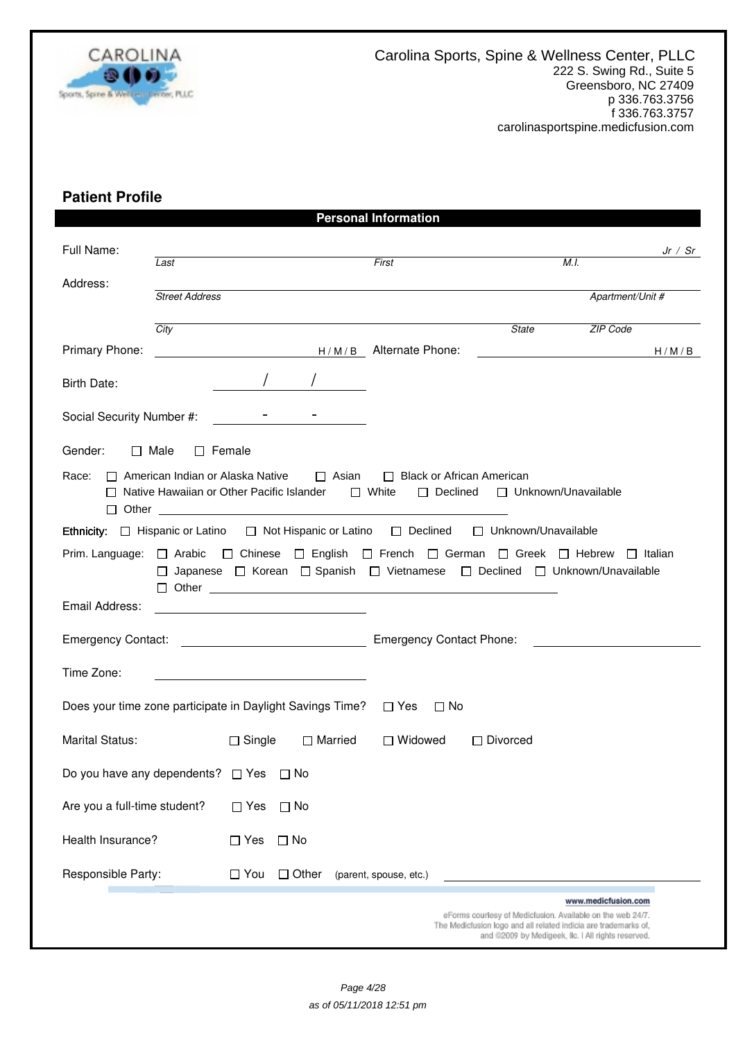

# **Patient Profile**

|                                   |                                                                                        |                         |                                                         | <b>Personal Information</b>                                                                                                                                                                     |                                                                                                                               |                                                    |           |
|-----------------------------------|----------------------------------------------------------------------------------------|-------------------------|---------------------------------------------------------|-------------------------------------------------------------------------------------------------------------------------------------------------------------------------------------------------|-------------------------------------------------------------------------------------------------------------------------------|----------------------------------------------------|-----------|
| Full Name:                        | Last                                                                                   |                         |                                                         | First                                                                                                                                                                                           |                                                                                                                               | M.L                                                | Jr / $Sr$ |
| Address:                          | <b>Street Address</b>                                                                  |                         |                                                         |                                                                                                                                                                                                 |                                                                                                                               | Apartment/Unit #                                   |           |
|                                   | City                                                                                   |                         |                                                         |                                                                                                                                                                                                 | <b>State</b>                                                                                                                  | <b>ZIP Code</b>                                    |           |
| Primary Phone:                    |                                                                                        |                         |                                                         | H/M/B Alternate Phone:                                                                                                                                                                          |                                                                                                                               | H/M/B                                              |           |
| Birth Date:                       |                                                                                        |                         |                                                         |                                                                                                                                                                                                 |                                                                                                                               |                                                    |           |
| Social Security Number #:         |                                                                                        |                         |                                                         |                                                                                                                                                                                                 |                                                                                                                               |                                                    |           |
| Gender:                           | $\Box$ Male<br>$\Box$ Female                                                           |                         |                                                         |                                                                                                                                                                                                 |                                                                                                                               |                                                    |           |
| Race:                             | $\Box$ American Indian or Alaska Native<br>□ Native Hawaiian or Other Pacific Islander |                         | $\square$ Asian                                         | □ Black or African American<br>$\Box$ White                                                                                                                                                     | □ Declined □ Unknown/Unavailable                                                                                              |                                                    |           |
|                                   |                                                                                        |                         |                                                         | Ethnicity: □ Hispanic or Latino □ Not Hispanic or Latino □ Declined □ Unknown/Unavailable                                                                                                       |                                                                                                                               |                                                    |           |
|                                   |                                                                                        |                         |                                                         | Prim. Language: □ Arabic □ Chinese □ English □ French □ German □ Greek □ Hebrew □ Italian<br>□ Japanese □ Korean □ Spanish □ Vietnamese □ Declined □ Unknown/Unavailable<br>$\Box$ Other $\Box$ |                                                                                                                               |                                                    |           |
| Email Address:                    |                                                                                        |                         |                                                         |                                                                                                                                                                                                 |                                                                                                                               |                                                    |           |
|                                   |                                                                                        |                         |                                                         | <b>Emergency Contact Phone:</b>                                                                                                                                                                 |                                                                                                                               |                                                    |           |
| Time Zone:                        |                                                                                        |                         | <u> 1989 - Johann Barbara, martin amerikan basar da</u> |                                                                                                                                                                                                 |                                                                                                                               |                                                    |           |
|                                   |                                                                                        |                         |                                                         | Does your time zone participate in Daylight Savings Time? □ Yes □ No                                                                                                                            |                                                                                                                               |                                                    |           |
| <b>Marital Status:</b>            |                                                                                        | $\Box$ Single           | □ Married                                               | □ Widowed                                                                                                                                                                                       | $\Box$ Divorced                                                                                                               |                                                    |           |
| Do you have any dependents? □ Yes |                                                                                        |                         | $\Box$ No                                               |                                                                                                                                                                                                 |                                                                                                                               |                                                    |           |
| Are you a full-time student?      |                                                                                        | $\Box$ Yes              | $\Box$ No                                               |                                                                                                                                                                                                 |                                                                                                                               |                                                    |           |
| Health Insurance?                 |                                                                                        | $\Box$ Yes<br>$\Box$ No |                                                         |                                                                                                                                                                                                 |                                                                                                                               |                                                    |           |
| Responsible Party:                |                                                                                        | $\Box$ You              | $\Box$ Other                                            | (parent, spouse, etc.)                                                                                                                                                                          |                                                                                                                               |                                                    |           |
|                                   |                                                                                        |                         |                                                         |                                                                                                                                                                                                 |                                                                                                                               | www.medicfusion.com                                |           |
|                                   |                                                                                        |                         |                                                         |                                                                                                                                                                                                 | eForms courtesy of Medicfusion. Available on the web 24/7.<br>The Medicfusion logo and all related indicia are trademarks of, | and @2009 by Medigeek, Ilc. I All rights reserved. |           |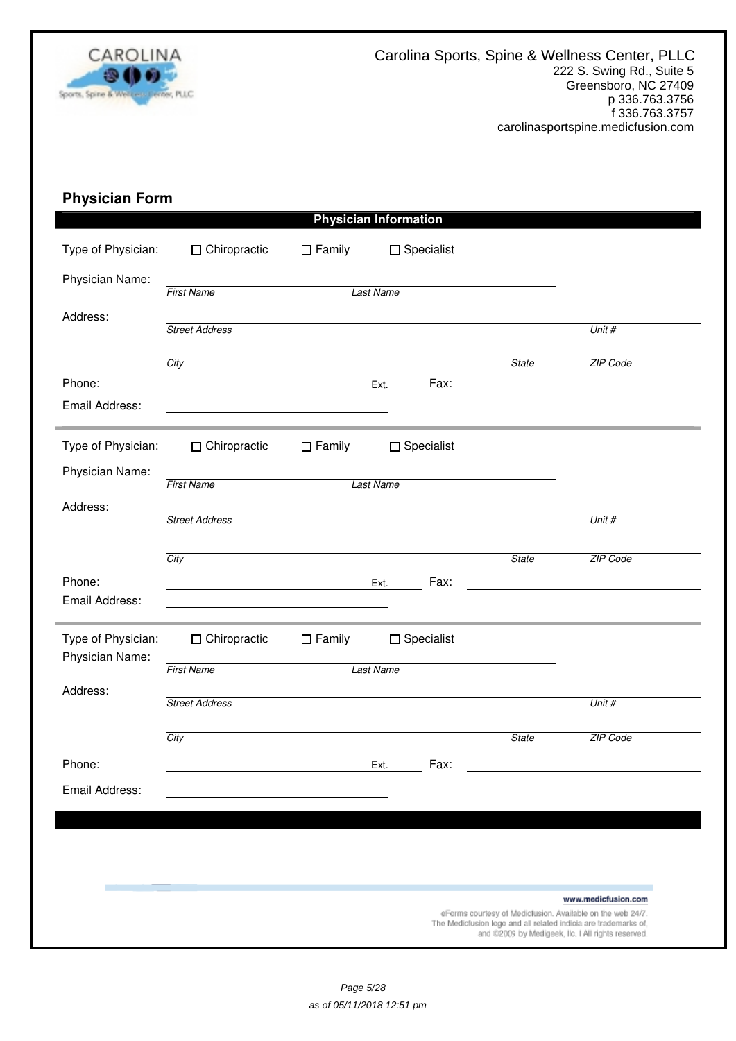

# **Physician Form**

| $\Box$ Chiropractic   | $\Box$ Family | $\Box$ Specialist                                    |                                                                                                                  |                                                                                                                                                                                     |
|-----------------------|---------------|------------------------------------------------------|------------------------------------------------------------------------------------------------------------------|-------------------------------------------------------------------------------------------------------------------------------------------------------------------------------------|
| <b>First Name</b>     |               |                                                      |                                                                                                                  |                                                                                                                                                                                     |
| <b>Street Address</b> |               |                                                      |                                                                                                                  | Unit #                                                                                                                                                                              |
| City                  |               |                                                      | <b>State</b>                                                                                                     | ZIP Code                                                                                                                                                                            |
|                       |               | Fax:                                                 |                                                                                                                  |                                                                                                                                                                                     |
| $\Box$ Chiropractic   | $\Box$ Family | $\Box$ Specialist                                    |                                                                                                                  |                                                                                                                                                                                     |
| <b>First Name</b>     |               |                                                      |                                                                                                                  |                                                                                                                                                                                     |
| <b>Street Address</b> |               |                                                      |                                                                                                                  | Unit #                                                                                                                                                                              |
| City                  |               |                                                      | <b>State</b>                                                                                                     | ZIP Code                                                                                                                                                                            |
|                       |               | Fax:                                                 |                                                                                                                  |                                                                                                                                                                                     |
| $\Box$ Chiropractic   | $\Box$ Family | $\Box$ Specialist                                    |                                                                                                                  |                                                                                                                                                                                     |
| <b>First Name</b>     |               |                                                      |                                                                                                                  |                                                                                                                                                                                     |
| <b>Street Address</b> |               |                                                      |                                                                                                                  | Unit #                                                                                                                                                                              |
| City                  |               |                                                      | <b>State</b>                                                                                                     | ZIP Code                                                                                                                                                                            |
|                       |               | Fax:                                                 |                                                                                                                  |                                                                                                                                                                                     |
|                       |               |                                                      |                                                                                                                  |                                                                                                                                                                                     |
|                       |               |                                                      |                                                                                                                  |                                                                                                                                                                                     |
|                       |               |                                                      |                                                                                                                  |                                                                                                                                                                                     |
|                       |               |                                                      |                                                                                                                  | www.medicfusion.com                                                                                                                                                                 |
|                       |               | <u> 1989 - Johann Stoff, Amerikaansk politiker (</u> | <b>Physician Information</b><br><b>Last Name</b><br>Ext.<br><b>Last Name</b><br>Ext.<br><b>Last Name</b><br>Ext. | eForms courtesy of Medicfusion. Available on the web 24/7.<br>The Medicfusion logo and all related indicia are trademarks of,<br>and @2009 by Medigeek, Ilc. I All rights reserved. |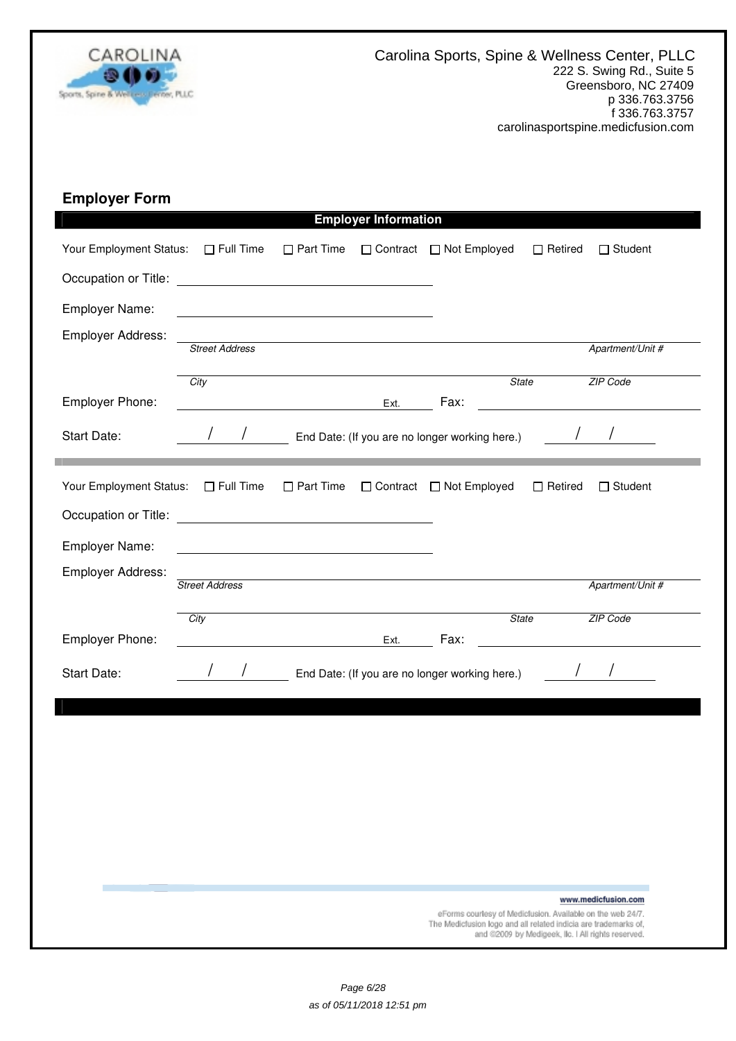

# **Employer Form**

|                         |                                                       |                  | <b>Employer Information</b> |                                                |                                                                                                                       |
|-------------------------|-------------------------------------------------------|------------------|-----------------------------|------------------------------------------------|-----------------------------------------------------------------------------------------------------------------------|
| Your Employment Status: | $\Box$ Full Time                                      | $\Box$ Part Time | □ Contract                  | □ Not Employed                                 | $\Box$ Retired<br>$\Box$ Student                                                                                      |
| Occupation or Title:    | <u> 1980 - Johann Stein, fransk politik (d. 1980)</u> |                  |                             |                                                |                                                                                                                       |
| Employer Name:          |                                                       |                  |                             |                                                |                                                                                                                       |
| Employer Address:       | <b>Street Address</b>                                 |                  |                             |                                                | Apartment/Unit #                                                                                                      |
|                         | City                                                  |                  |                             | <b>State</b>                                   | ZIP Code                                                                                                              |
| Employer Phone:         |                                                       |                  | Ext.                        | Fax:                                           |                                                                                                                       |
| Start Date:             |                                                       |                  |                             | End Date: (If you are no longer working here.) |                                                                                                                       |
| Your Employment Status: | $\Box$ Full Time                                      | $\Box$ Part Time |                             | □ Contract □ Not Employed                      | $\Box$ Retired<br>$\Box$ Student                                                                                      |
|                         |                                                       |                  |                             |                                                |                                                                                                                       |
| Employer Name:          |                                                       |                  |                             |                                                |                                                                                                                       |
| Employer Address:       | <b>Street Address</b>                                 |                  |                             |                                                | Apartment/Unit #                                                                                                      |
|                         | City                                                  |                  |                             | <b>State</b>                                   | ZIP Code                                                                                                              |
| Employer Phone:         |                                                       |                  | Ext.                        | Fax:                                           |                                                                                                                       |
| Start Date:             |                                                       |                  |                             | End Date: (If you are no longer working here.) |                                                                                                                       |
|                         |                                                       |                  |                             |                                                |                                                                                                                       |
|                         |                                                       |                  |                             |                                                |                                                                                                                       |
|                         |                                                       |                  |                             |                                                |                                                                                                                       |
|                         |                                                       |                  |                             |                                                |                                                                                                                       |
|                         |                                                       |                  |                             |                                                |                                                                                                                       |
|                         |                                                       |                  |                             |                                                |                                                                                                                       |
|                         |                                                       |                  |                             |                                                | www.medicfusion.com<br>eForms courtesy of Medicfusion. Available on the web 24/7.                                     |
|                         |                                                       |                  |                             |                                                | The Medicfusion logo and all related indicia are trademarks of,<br>and @2009 by Medigeek, Ilc. I All rights reserved. |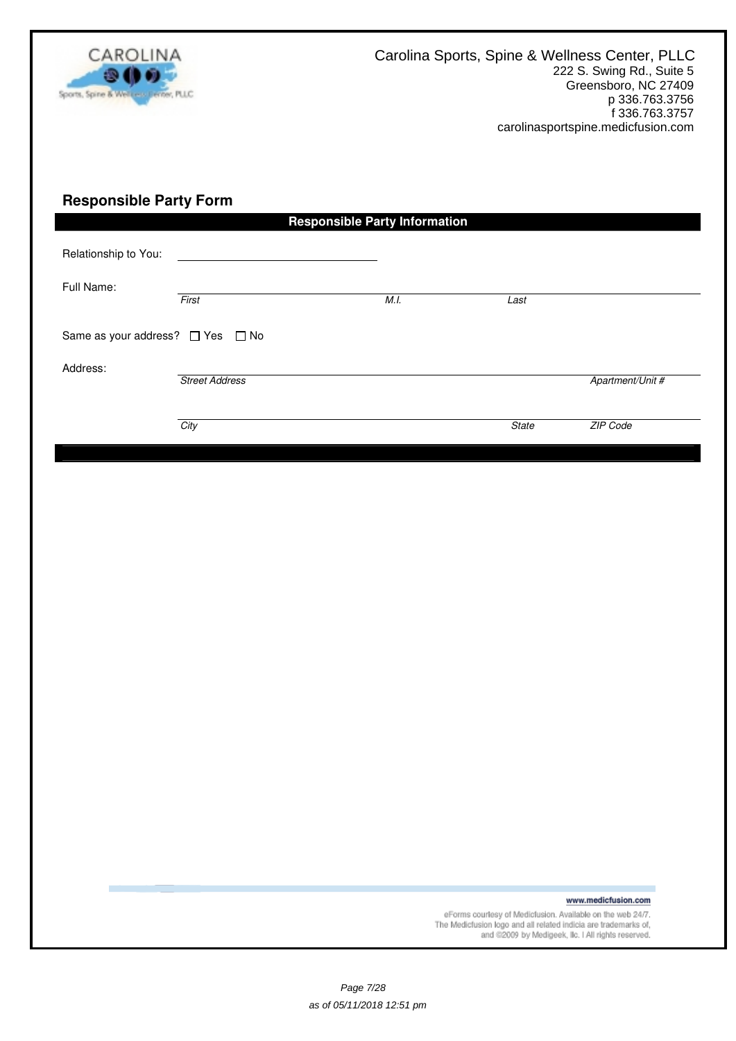

# **Responsible Party Form**

|                                            |                       | <b>Responsible Party Information</b> |              |                  |
|--------------------------------------------|-----------------------|--------------------------------------|--------------|------------------|
| Relationship to You:<br>Full Name:         | First                 | M.I.                                 | Last         |                  |
| Same as your address? $\Box$ Yes $\Box$ No |                       |                                      |              |                  |
| Address:                                   | <b>Street Address</b> |                                      |              | Apartment/Unit # |
|                                            | City                  |                                      | <b>State</b> | ZIP Code         |

www.medicfusion.com

eForms courtesy of Medicfusion. Available on the web 24/7.<br>The Medicfusion logo and all related indicia are trademarks of,<br>and @2009 by Medigeek, Ilc. I All rights reserved.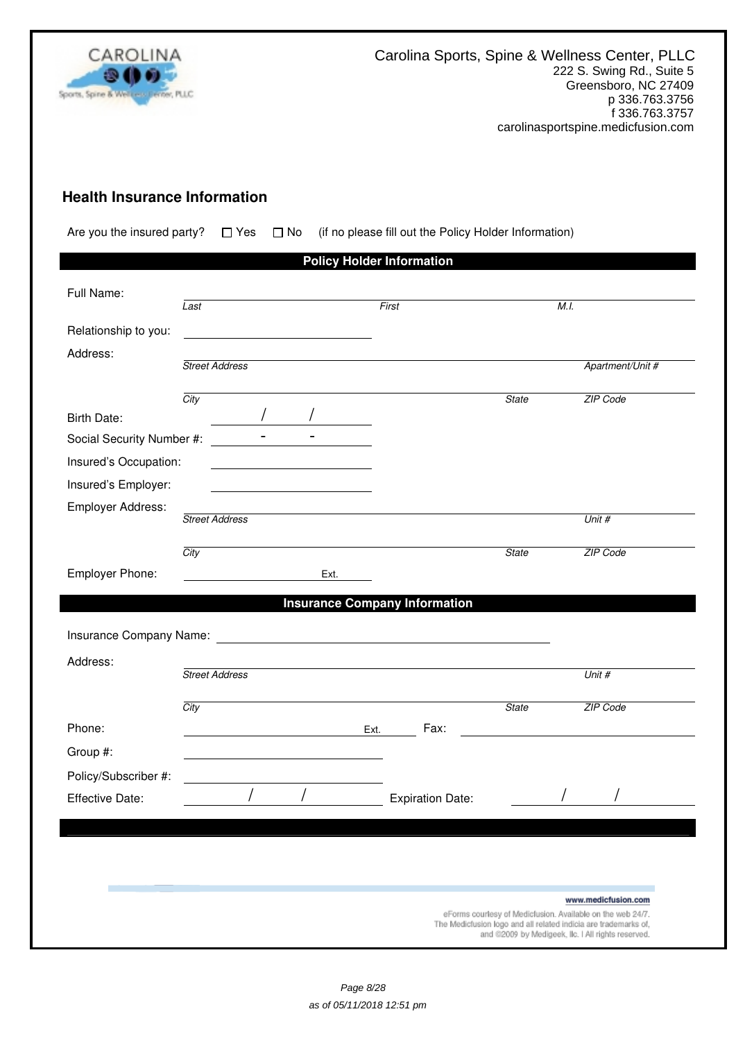

# **Health Insurance Information**

Are you the insured party?  $\Box$  Yes  $\Box$  No (if no please fill out the Policy Holder Information)

|                           |                                                                                                                                                                                                                                     | <b>Policy Holder Information</b>     |                                                                                                                                                                                     |
|---------------------------|-------------------------------------------------------------------------------------------------------------------------------------------------------------------------------------------------------------------------------------|--------------------------------------|-------------------------------------------------------------------------------------------------------------------------------------------------------------------------------------|
| Full Name:                |                                                                                                                                                                                                                                     |                                      |                                                                                                                                                                                     |
|                           | Last                                                                                                                                                                                                                                | First                                | M.I.                                                                                                                                                                                |
| Relationship to you:      |                                                                                                                                                                                                                                     |                                      |                                                                                                                                                                                     |
| Address:                  |                                                                                                                                                                                                                                     |                                      |                                                                                                                                                                                     |
|                           | <b>Street Address</b>                                                                                                                                                                                                               |                                      | Apartment/Unit #                                                                                                                                                                    |
|                           | City                                                                                                                                                                                                                                | <b>State</b>                         | ZIP Code                                                                                                                                                                            |
| <b>Birth Date:</b>        |                                                                                                                                                                                                                                     |                                      |                                                                                                                                                                                     |
| Social Security Number #: | $\mathbf{r}$                                                                                                                                                                                                                        |                                      |                                                                                                                                                                                     |
| Insured's Occupation:     |                                                                                                                                                                                                                                     |                                      |                                                                                                                                                                                     |
| Insured's Employer:       |                                                                                                                                                                                                                                     |                                      |                                                                                                                                                                                     |
| Employer Address:         | <b>Street Address</b>                                                                                                                                                                                                               |                                      | Unit #                                                                                                                                                                              |
|                           |                                                                                                                                                                                                                                     |                                      |                                                                                                                                                                                     |
|                           | City                                                                                                                                                                                                                                | <b>State</b>                         | ZIP Code                                                                                                                                                                            |
| Employer Phone:           | Ext.                                                                                                                                                                                                                                |                                      |                                                                                                                                                                                     |
|                           |                                                                                                                                                                                                                                     | <b>Insurance Company Information</b> |                                                                                                                                                                                     |
|                           | Insurance Company Name: <b>Manual According to the Company Name:</b> Manual According to the According to the According to the According to the According to the According to the According to the According to the According to th |                                      |                                                                                                                                                                                     |
|                           |                                                                                                                                                                                                                                     |                                      |                                                                                                                                                                                     |
| Address:                  | <b>Street Address</b>                                                                                                                                                                                                               |                                      | Unit #                                                                                                                                                                              |
|                           |                                                                                                                                                                                                                                     |                                      |                                                                                                                                                                                     |
|                           | City                                                                                                                                                                                                                                | <b>State</b>                         | ZIP Code                                                                                                                                                                            |
| Phone:                    |                                                                                                                                                                                                                                     | Fax:<br>Ext.                         |                                                                                                                                                                                     |
| Group #:                  |                                                                                                                                                                                                                                     |                                      |                                                                                                                                                                                     |
| Policy/Subscriber #:      |                                                                                                                                                                                                                                     |                                      |                                                                                                                                                                                     |
| Effective Date:           |                                                                                                                                                                                                                                     | <b>Expiration Date:</b>              |                                                                                                                                                                                     |
|                           |                                                                                                                                                                                                                                     |                                      |                                                                                                                                                                                     |
|                           |                                                                                                                                                                                                                                     |                                      |                                                                                                                                                                                     |
|                           |                                                                                                                                                                                                                                     |                                      |                                                                                                                                                                                     |
|                           |                                                                                                                                                                                                                                     |                                      | www.medicfusion.com                                                                                                                                                                 |
|                           |                                                                                                                                                                                                                                     |                                      | eForms courtesy of Medicfusion. Available on the web 24/7.<br>The Medicfusion logo and all related indicia are trademarks of,<br>and @2009 by Medigeek, Ilc. I All rights reserved. |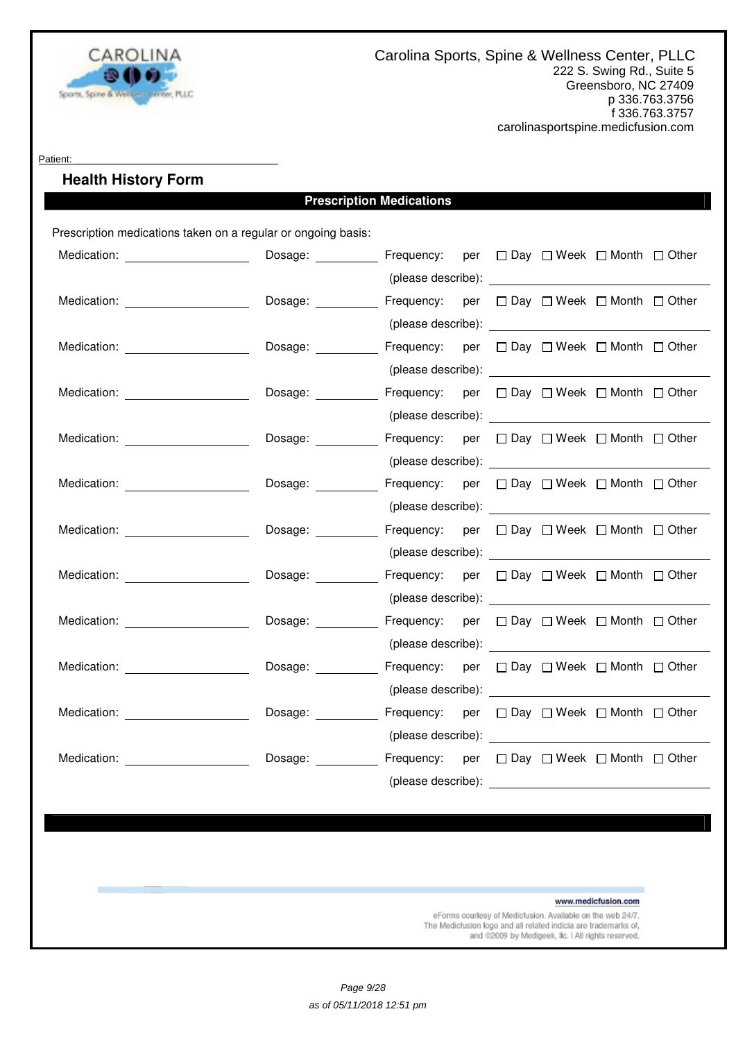

#### Patient:

# **Health History Form**

# **Prescription Medications**

Prescription medications taken on a regular or ongoing basis:

| Medication: _______________________                                                                                                                                                                                            | Dosage: ___________ Frequency: per □ Day □ Week □ Month □ Other |                                                                                                                                                                                                                                      |  |  |  |
|--------------------------------------------------------------------------------------------------------------------------------------------------------------------------------------------------------------------------------|-----------------------------------------------------------------|--------------------------------------------------------------------------------------------------------------------------------------------------------------------------------------------------------------------------------------|--|--|--|
|                                                                                                                                                                                                                                |                                                                 |                                                                                                                                                                                                                                      |  |  |  |
| Medication: Medication:                                                                                                                                                                                                        | Dosage: __________ Frequency: per □ Day □ Week □ Month □ Other  |                                                                                                                                                                                                                                      |  |  |  |
|                                                                                                                                                                                                                                |                                                                 |                                                                                                                                                                                                                                      |  |  |  |
|                                                                                                                                                                                                                                | Dosage:                                                         | Frequency: per $\Box$ Day $\Box$ Week $\Box$ Month $\Box$ Other                                                                                                                                                                      |  |  |  |
|                                                                                                                                                                                                                                |                                                                 | (please describe): <u>example and the set of the set of the set of the set of the set of the set of the set of the set of the set of the set of the set of the set of the set of the set of the set of the set of the set of the</u> |  |  |  |
| Medication: <u>www.communityments.com</u>                                                                                                                                                                                      | Dosage: ___________ Frequency: per □ Day □ Week □ Month □ Other |                                                                                                                                                                                                                                      |  |  |  |
|                                                                                                                                                                                                                                |                                                                 |                                                                                                                                                                                                                                      |  |  |  |
| Medication: Nedication:                                                                                                                                                                                                        | Dosage: ___________ Frequency: per □ Day □ Week □ Month □ Other |                                                                                                                                                                                                                                      |  |  |  |
|                                                                                                                                                                                                                                |                                                                 |                                                                                                                                                                                                                                      |  |  |  |
| Medication: Medication:                                                                                                                                                                                                        | Dosage: <u>___________</u>                                      | Frequency: per □ Day □ Week □ Month □ Other                                                                                                                                                                                          |  |  |  |
|                                                                                                                                                                                                                                |                                                                 |                                                                                                                                                                                                                                      |  |  |  |
|                                                                                                                                                                                                                                | Dosage: ___________ Frequency: per □ Day □ Week □ Month □ Other |                                                                                                                                                                                                                                      |  |  |  |
|                                                                                                                                                                                                                                |                                                                 | (please describe): <u>example and the set of the set of the set of the set of the set of the set of the set of the set of the set of the set of the set of the set of the set of the set of the set of the set of the set of the</u> |  |  |  |
| Medication: _____________________                                                                                                                                                                                              | Dosage: ___________ Frequency: per □ Day □ Week □ Month □ Other |                                                                                                                                                                                                                                      |  |  |  |
|                                                                                                                                                                                                                                |                                                                 |                                                                                                                                                                                                                                      |  |  |  |
| Medication: Website and Security and Security and Security and Security and Security and Security and Security and Security and Security and Security and Security and Security and Security and Security and Security and Sec | Dosage: _______                                                 | Frequency: per □ Day □ Week □ Month □ Other                                                                                                                                                                                          |  |  |  |
|                                                                                                                                                                                                                                |                                                                 | (please describe): <u>example and contract and contract and contract and contract and contract and contract and contract and contract and contract and contract and contract and contract and contract and contract and contract</u> |  |  |  |
| Medication: ______________________                                                                                                                                                                                             | Dosage: ___________ Frequency: per □ Day □ Week □ Month □ Other |                                                                                                                                                                                                                                      |  |  |  |
|                                                                                                                                                                                                                                |                                                                 | (please describe): <u>example and the set of the set of the set of the set of the set of the set of the set of the set of the set of the set of the set of the set of the set of the set of the set of the set of the set of the</u> |  |  |  |
| Medication: Medication:                                                                                                                                                                                                        | Dosage: ___________ Frequency: per □ Day □ Week □ Month □ Other |                                                                                                                                                                                                                                      |  |  |  |
|                                                                                                                                                                                                                                |                                                                 |                                                                                                                                                                                                                                      |  |  |  |
| Medication: New York Products and Products and Products and Products and Products and Products and Products and Products and Products and Products and Products and Products and Products and Products and Products and Produc | Dosage:                                                         | Frequency: per □ Day □ Week □ Month □ Other                                                                                                                                                                                          |  |  |  |
|                                                                                                                                                                                                                                |                                                                 | (please describe):                                                                                                                                                                                                                   |  |  |  |

www.medicfusion.com

eForms courtesy of Medicfusion. Available on the web 24/7. The Medicfusion logo and all related indicia are trademarks of, and @2009 by Medigeek, Ilc. I All rights reserved.

Page 9/28 as of 05/11/2018 12:51 pm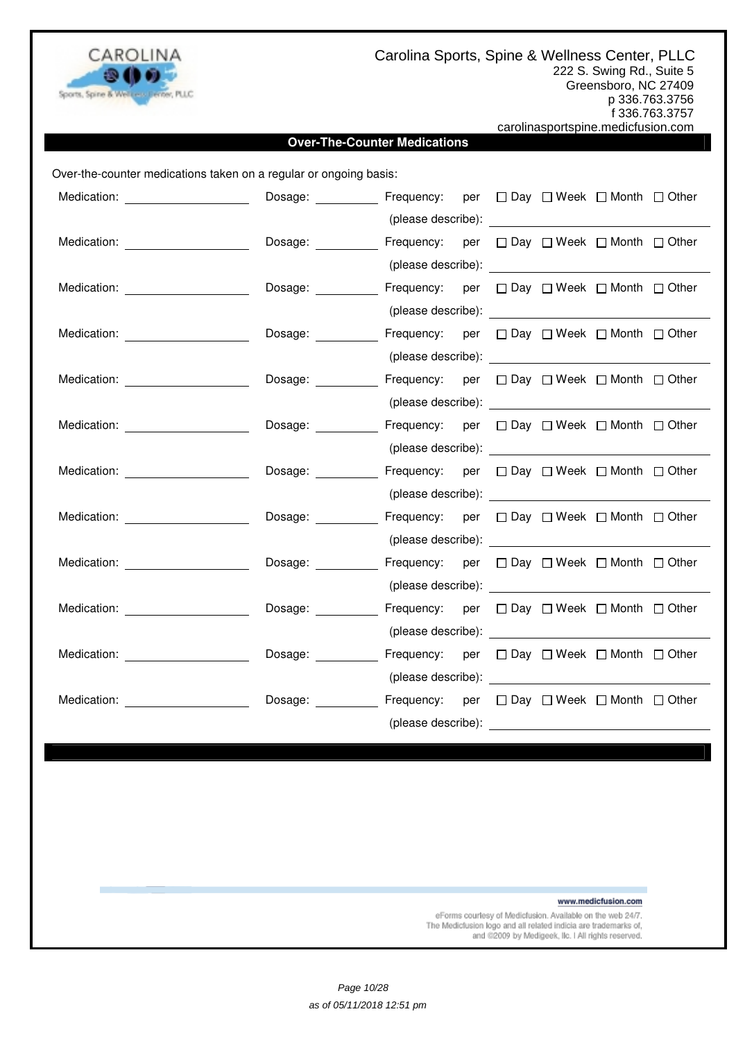

Carolina Sports, Spine & Wellness Center, PLLC

222 S. Swing Rd., Suite 5 Greensboro, NC 27409 p 336.763.3756 f 336.763.3757

carolinasportspine.medicfusion.com

### **Over-The-Counter Medications**

Over-the-counter medications taken on a regular or ongoing basis:

| Medication: ______________________                                                                                                                                                                                                   | Dosage: _________                                                                                                                                                                                                                    | Frequency: per □ Day □ Week □ Month □ Other                                                                                                                                                                                    |  |  |  |
|--------------------------------------------------------------------------------------------------------------------------------------------------------------------------------------------------------------------------------------|--------------------------------------------------------------------------------------------------------------------------------------------------------------------------------------------------------------------------------------|--------------------------------------------------------------------------------------------------------------------------------------------------------------------------------------------------------------------------------|--|--|--|
|                                                                                                                                                                                                                                      |                                                                                                                                                                                                                                      | (please describe): expression of the set of the set of the set of the set of the set of the set of the set of the set of the set of the set of the set of the set of the set of the set of the set of the set of the set of th |  |  |  |
| Medication: <u>with a series of the series of the series of the series of the series of the series of the series of the series of the series of the series of the series of the series of the series of the series of the series</u> | Dosage:                                                                                                                                                                                                                              | Frequency: per $\Box$ Day $\Box$ Week $\Box$ Month $\Box$ Other                                                                                                                                                                |  |  |  |
|                                                                                                                                                                                                                                      |                                                                                                                                                                                                                                      |                                                                                                                                                                                                                                |  |  |  |
| Medication: Medication:                                                                                                                                                                                                              | Dosage: <b>contract to the contract of the contract of the contract of the contract of the contract of the contract of the contract of the contract of the contract of the contract of the contract of the contract of the contr</b> | Frequency: per □ Day □ Week □ Month □ Other                                                                                                                                                                                    |  |  |  |
|                                                                                                                                                                                                                                      |                                                                                                                                                                                                                                      |                                                                                                                                                                                                                                |  |  |  |
| Medication: _____________________                                                                                                                                                                                                    | Dosage: <b>Example</b>                                                                                                                                                                                                               | Frequency: per □ Day □ Week □ Month □ Other                                                                                                                                                                                    |  |  |  |
|                                                                                                                                                                                                                                      |                                                                                                                                                                                                                                      |                                                                                                                                                                                                                                |  |  |  |
| Medication: ______________________                                                                                                                                                                                                   | Dosage: ___________ Frequency: per □ Day □ Week □ Month □ Other                                                                                                                                                                      |                                                                                                                                                                                                                                |  |  |  |
|                                                                                                                                                                                                                                      |                                                                                                                                                                                                                                      |                                                                                                                                                                                                                                |  |  |  |
| Medication: _______________________                                                                                                                                                                                                  | Dosage: Frequency: per □ Day □ Week □ Month □ Other                                                                                                                                                                                  |                                                                                                                                                                                                                                |  |  |  |
|                                                                                                                                                                                                                                      |                                                                                                                                                                                                                                      |                                                                                                                                                                                                                                |  |  |  |
| Medication: Website and Security and Security and Security and Security and Security and Security and Security and Security and Security and Security and Security and Security and Security and Security and Security and Sec       | Dosage: <u>_____________</u>                                                                                                                                                                                                         | Frequency: per □ Day □ Week □ Month □ Other                                                                                                                                                                                    |  |  |  |
|                                                                                                                                                                                                                                      |                                                                                                                                                                                                                                      |                                                                                                                                                                                                                                |  |  |  |
| Medication: <b>Example 2019</b>                                                                                                                                                                                                      | Dosage: Frequency: per □ Day □ Week □ Month □ Other                                                                                                                                                                                  |                                                                                                                                                                                                                                |  |  |  |
|                                                                                                                                                                                                                                      |                                                                                                                                                                                                                                      | (please describe): expression of the set of the set of the set of the set of the set of the set of the set of the set of the set of the set of the set of the set of the set of the set of the set of the set of the set of th |  |  |  |
| Medication: Medication:                                                                                                                                                                                                              | Dosage: ___________ Frequency: per □ Day □ Week □ Month □ Other                                                                                                                                                                      |                                                                                                                                                                                                                                |  |  |  |
|                                                                                                                                                                                                                                      |                                                                                                                                                                                                                                      |                                                                                                                                                                                                                                |  |  |  |
| Medication: ______________________                                                                                                                                                                                                   | Dosage: _________                                                                                                                                                                                                                    | Frequency: per □ Day □ Week □ Month □ Other                                                                                                                                                                                    |  |  |  |
|                                                                                                                                                                                                                                      |                                                                                                                                                                                                                                      |                                                                                                                                                                                                                                |  |  |  |
| Medication: New York Products and American Section 2014                                                                                                                                                                              | Dosage: Frequency: per □ Day □ Week □ Month □ Other                                                                                                                                                                                  |                                                                                                                                                                                                                                |  |  |  |
|                                                                                                                                                                                                                                      |                                                                                                                                                                                                                                      |                                                                                                                                                                                                                                |  |  |  |
| Medication: Website and Security and Security and Security and Security and Security and Security and Security and Security and Security and Security and Security and Security and Security and Security and Security and Sec       | Dosage: Frequency: per □ Day □ Week □ Month □ Other                                                                                                                                                                                  |                                                                                                                                                                                                                                |  |  |  |
|                                                                                                                                                                                                                                      |                                                                                                                                                                                                                                      | (please describe):                                                                                                                                                                                                             |  |  |  |

www.medicfusion.com

eForms courtesy of Medicfusion. Available on the web 24/7. The Medicfusion logo and all related indicia are trademarks of, and @2009 by Medigeek, Ilc. I All rights reserved.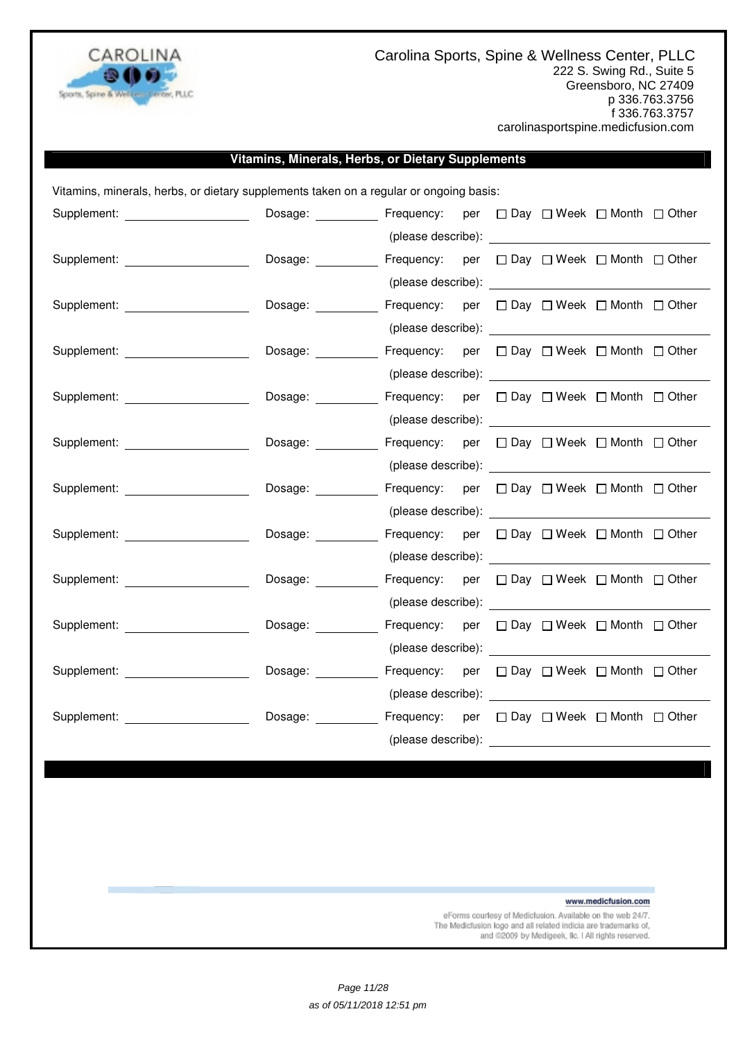

### **Vitamins, Minerals, Herbs, or Dietary Supplements**

Vitamins, minerals, herbs, or dietary supplements taken on a regular or ongoing basis:

| Supplement: _____________________                                                                                                                                                                                              | Dosage:            | Frequency: per □ Day □ Week □ Month □ Other                                                                                                                                                                                          |  |  |  |
|--------------------------------------------------------------------------------------------------------------------------------------------------------------------------------------------------------------------------------|--------------------|--------------------------------------------------------------------------------------------------------------------------------------------------------------------------------------------------------------------------------------|--|--|--|
|                                                                                                                                                                                                                                |                    |                                                                                                                                                                                                                                      |  |  |  |
| Supplement: _____________________                                                                                                                                                                                              | Dosage:            | Frequency: per □ Day □ Week □ Month □ Other                                                                                                                                                                                          |  |  |  |
|                                                                                                                                                                                                                                |                    |                                                                                                                                                                                                                                      |  |  |  |
| Supplement: The contract of the contract of the contract of the contract of the contract of the contract of the contract of the contract of the contract of the contract of the contract of the contract of the contract of th | Dosage:            | Frequency: per □ Day □ Week □ Month □ Other                                                                                                                                                                                          |  |  |  |
|                                                                                                                                                                                                                                |                    |                                                                                                                                                                                                                                      |  |  |  |
| Supplement: _____________________                                                                                                                                                                                              | Dosage:            | Frequency: per □ Day □ Week □ Month □ Other                                                                                                                                                                                          |  |  |  |
|                                                                                                                                                                                                                                |                    |                                                                                                                                                                                                                                      |  |  |  |
| Supplement: ____________________                                                                                                                                                                                               | Dosage:            | Frequency: per $\Box$ Day $\Box$ Week $\Box$ Month $\Box$ Other                                                                                                                                                                      |  |  |  |
|                                                                                                                                                                                                                                |                    | (please describe): <u>contract and the set of the set of the set of the set of the set of the set of the set of the set of the set of the set of the set of the set of the set of the set of the set of the set of the set of th</u> |  |  |  |
| Supplement: _____________________                                                                                                                                                                                              | Dosage:            | Frequency: per $\Box$ Day $\Box$ Week $\Box$ Month $\Box$ Other                                                                                                                                                                      |  |  |  |
|                                                                                                                                                                                                                                |                    |                                                                                                                                                                                                                                      |  |  |  |
| Supplement: explorer and the state of the state of the state of the state of the state of the state of the state of the state of the state of the state of the state of the state of the state of the state of the state of th | Dosage:            | Frequency: per □ Day □ Week □ Month □ Other                                                                                                                                                                                          |  |  |  |
|                                                                                                                                                                                                                                |                    | (please describe): expression of the set of the set of the set of the set of the set of the set of the set of the set of the set of the set of the set of the set of the set of the set of the set of the set of the set of th       |  |  |  |
| Supplement: <u>___________________________</u>                                                                                                                                                                                 | Dosage:            | Frequency: per □ Day □ Week □ Month □ Other                                                                                                                                                                                          |  |  |  |
|                                                                                                                                                                                                                                |                    |                                                                                                                                                                                                                                      |  |  |  |
| Supplement: The contract of the contract of the contract of the contract of the contract of the contract of the contract of the contract of the contract of the contract of the contract of the contract of the contract of th | Dosage:            | Frequency: per $\Box$ Day $\Box$ Week $\Box$ Month $\Box$ Other                                                                                                                                                                      |  |  |  |
|                                                                                                                                                                                                                                |                    |                                                                                                                                                                                                                                      |  |  |  |
| Supplement: _______________________                                                                                                                                                                                            | Dosage:            | Frequency: per □ Day □ Week □ Month □ Other                                                                                                                                                                                          |  |  |  |
|                                                                                                                                                                                                                                |                    |                                                                                                                                                                                                                                      |  |  |  |
| Supplement: Analysis of the Supplement:                                                                                                                                                                                        | Dosage: __________ | Frequency: per □ Day □ Week □ Month □ Other                                                                                                                                                                                          |  |  |  |
|                                                                                                                                                                                                                                |                    | (please describe): expression of the set of the set of the set of the set of the set of the set of the set of the set of the set of the set of the set of the set of the set of the set of the set of the set of the set of th       |  |  |  |
| Supplement: ________________                                                                                                                                                                                                   | Dosage:            | Frequency: per $\Box$ Day $\Box$ Week $\Box$ Month $\Box$ Other                                                                                                                                                                      |  |  |  |
|                                                                                                                                                                                                                                |                    | (please describe): example and the set of the set of the set of the set of the set of the set of the set of the set of the set of the set of the set of the set of the set of the set of the set of the set of the set of the        |  |  |  |

www.medicfusion.com

eForms courtesy of Medicfusion. Available on the web 24/7. The Medicfusion logo and all related indicia are trademarks of, and @2009 by Medigeek, Ilc. I All rights reserved.

Page 11/28 as of 05/11/2018 12:51 pm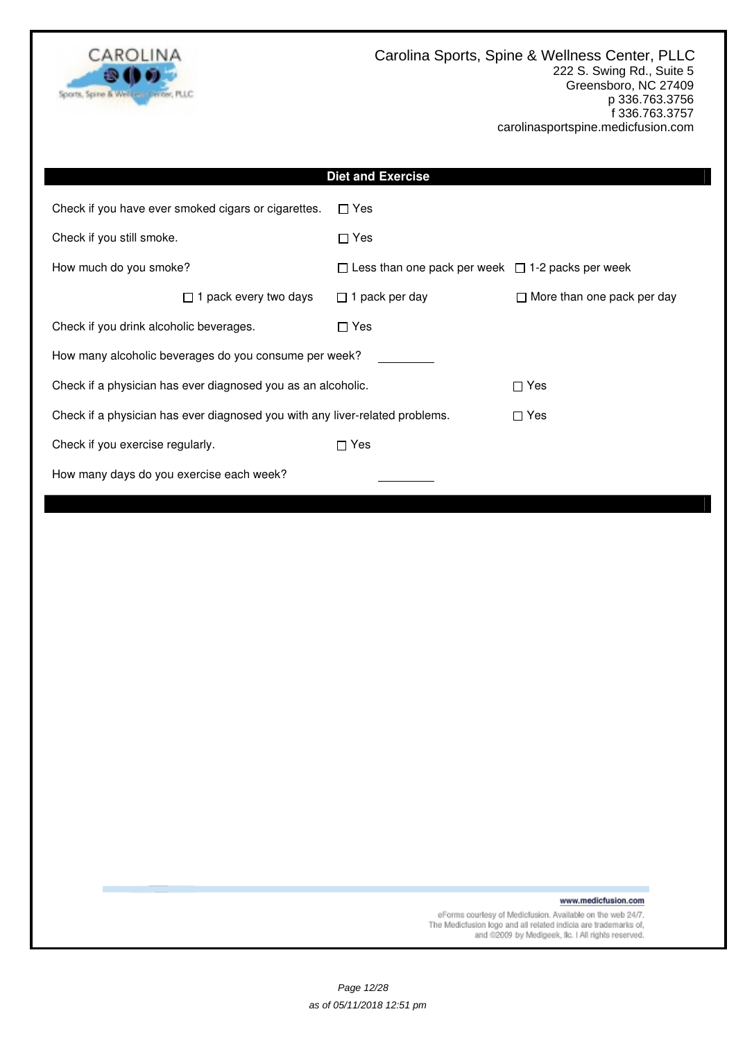

|                                                                              | <b>Diet and Exercise</b>                                     |                                   |  |  |
|------------------------------------------------------------------------------|--------------------------------------------------------------|-----------------------------------|--|--|
| Check if you have ever smoked cigars or cigarettes.                          | $\Box$ Yes                                                   |                                   |  |  |
| Check if you still smoke.                                                    | $\Box$ Yes                                                   |                                   |  |  |
| How much do you smoke?                                                       | $\Box$ Less than one pack per week $\Box$ 1-2 packs per week |                                   |  |  |
| 1 pack every two days                                                        | $\Box$ 1 pack per day                                        | $\Box$ More than one pack per day |  |  |
| Check if you drink alcoholic beverages.                                      | $\Box$ Yes                                                   |                                   |  |  |
| How many alcoholic beverages do you consume per week?                        |                                                              |                                   |  |  |
| Check if a physician has ever diagnosed you as an alcoholic.                 |                                                              | $\Box$ Yes                        |  |  |
| Check if a physician has ever diagnosed you with any liver-related problems. |                                                              | $\Box$ Yes                        |  |  |
| $\Box$ Yes<br>Check if you exercise regularly.                               |                                                              |                                   |  |  |
| How many days do you exercise each week?                                     |                                                              |                                   |  |  |
|                                                                              |                                                              |                                   |  |  |

www.medicfusion.com

eForms courtesy of Medicfusion. Available on the web 24/7.<br>The Medicfusion logo and all related indicia are trademarks of,<br>and @2009 by Medigeek, Ilc. I All rights reserved.

Page 12/28 as of 05/11/2018 12:51 pm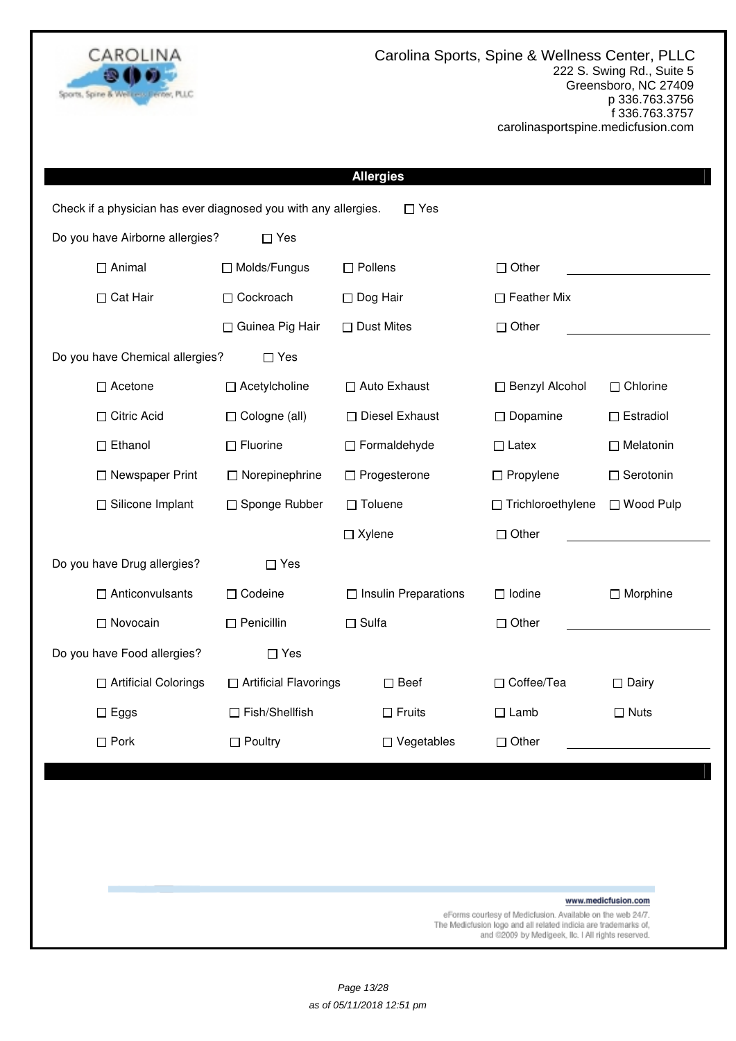

|                                                                 |                         | <b>Allergies</b>            |                     |                     |  |  |
|-----------------------------------------------------------------|-------------------------|-----------------------------|---------------------|---------------------|--|--|
| Check if a physician has ever diagnosed you with any allergies. |                         | $\Box$ Yes                  |                     |                     |  |  |
| Do you have Airborne allergies?                                 | $\Box$ Yes              |                             |                     |                     |  |  |
| $\Box$ Animal                                                   | □ Molds/Fungus          | $\Box$ Pollens              | $\Box$ Other        |                     |  |  |
| □ Cat Hair                                                      | □ Cockroach             | $\Box$ Dog Hair             | $\Box$ Feather Mix  |                     |  |  |
|                                                                 | □ Guinea Pig Hair       | $\Box$ Dust Mites           | $\Box$ Other        |                     |  |  |
| Do you have Chemical allergies?<br>$\Box$ Yes                   |                         |                             |                     |                     |  |  |
| $\Box$ Acetone                                                  | □ Acetylcholine         | □ Auto Exhaust              | □ Benzyl Alcohol    | $\Box$ Chlorine     |  |  |
| □ Citric Acid                                                   | $\Box$ Cologne (all)    | □ Diesel Exhaust            | $\Box$ Dopamine     | $\Box$ Estradiol    |  |  |
| $\Box$ Ethanol                                                  | $\Box$ Fluorine         | □ Formaldehyde              | $\Box$ Latex        | $\Box$ Melatonin    |  |  |
| □ Newspaper Print                                               | □ Norepinephrine        | □ Progesterone              | $\Box$ Propylene    | $\Box$ Serotonin    |  |  |
| □ Silicone Implant                                              | □ Sponge Rubber         | $\Box$ Toluene              | □ Trichloroethylene | □ Wood Pulp         |  |  |
|                                                                 |                         | $\Box$ Xylene               | $\Box$ Other        |                     |  |  |
| Do you have Drug allergies?                                     | $\Box$ Yes              |                             |                     |                     |  |  |
| $\Box$ Anticonvulsants                                          | □ Codeine               | $\Box$ Insulin Preparations | $\Box$ Iodine       | $\Box$ Morphine     |  |  |
| □ Novocain                                                      | $\Box$ Penicillin       | $\Box$ Sulfa                | $\Box$ Other        |                     |  |  |
| Do you have Food allergies?                                     | $\Box$ Yes              |                             |                     |                     |  |  |
| □ Artificial Colorings                                          | □ Artificial Flavorings | $\square$ Beef              | □ Coffee/Tea        | $\Box$ Dairy        |  |  |
| $\square$ Eggs                                                  | □ Fish/Shellfish        | $\Box$ Fruits               | $\Box$ Lamb         | $\Box$ Nuts         |  |  |
| $\square$ Pork                                                  | $\Box$ Poultry          | $\Box$ Vegetables           | $\Box$ Other        |                     |  |  |
|                                                                 |                         |                             |                     |                     |  |  |
|                                                                 |                         |                             |                     |                     |  |  |
|                                                                 |                         |                             |                     |                     |  |  |
|                                                                 |                         |                             |                     |                     |  |  |
|                                                                 |                         |                             |                     | www.medicfusion.com |  |  |

eForms courtesy of Medicfusion. Available on the web 24/7.<br>The Medicfusion logo and all related indicia are trademarks of,<br>and @2009 by Medigeek, Ilc. I All rights reserved.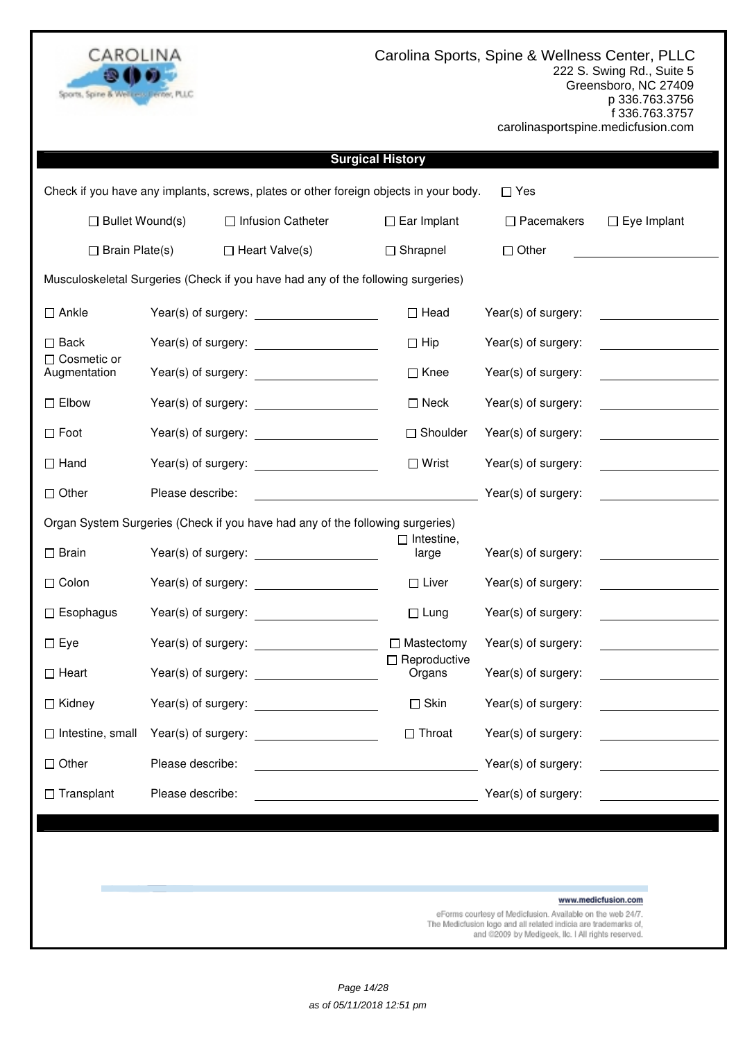

| <b>Surgical History</b>                                                                                        |                  |                                                                                                                     |                               |                     |                                                                                                                                                                                                                                      |  |  |
|----------------------------------------------------------------------------------------------------------------|------------------|---------------------------------------------------------------------------------------------------------------------|-------------------------------|---------------------|--------------------------------------------------------------------------------------------------------------------------------------------------------------------------------------------------------------------------------------|--|--|
|                                                                                                                |                  | Check if you have any implants, screws, plates or other foreign objects in your body.                               |                               | $\Box$ Yes          |                                                                                                                                                                                                                                      |  |  |
| $\Box$ Bullet Wound(s)<br>□ Infusion Catheter<br>$\Box$ Ear Implant<br>$\Box$ Pacemakers<br>$\Box$ Eye Implant |                  |                                                                                                                     |                               |                     |                                                                                                                                                                                                                                      |  |  |
| $\Box$ Brain Plate(s)                                                                                          |                  | $\Box$ Heart Valve(s)                                                                                               | $\Box$ Shrapnel               | $\Box$ Other        |                                                                                                                                                                                                                                      |  |  |
| Musculoskeletal Surgeries (Check if you have had any of the following surgeries)                               |                  |                                                                                                                     |                               |                     |                                                                                                                                                                                                                                      |  |  |
| $\square$ Ankle                                                                                                |                  | Year(s) of surgery:                                                                                                 | $\Box$ Head                   | Year(s) of surgery: |                                                                                                                                                                                                                                      |  |  |
| $\square$ Back                                                                                                 |                  |                                                                                                                     | $\Box$ Hip                    | Year(s) of surgery: | <u>a sa mga sangangang ng mga sangang ng mga sangang ng mga sangang ng mga sangang ng mga sangang ng mga sangang ng mga sangang ng mga sangang ng mga sangang ng mga sangang ng mga sangang ng mga sangang ng mga sangang ng mga</u> |  |  |
| $\Box$ Cosmetic or<br>Augmentation                                                                             |                  |                                                                                                                     | $\Box$ Knee                   | Year(s) of surgery: | <u> 1989 - Jan Barbara III, markazi ya kusa</u>                                                                                                                                                                                      |  |  |
| $\Box$ Elbow                                                                                                   |                  |                                                                                                                     | $\Box$ Neck                   | Year(s) of surgery: |                                                                                                                                                                                                                                      |  |  |
| $\Box$ Foot                                                                                                    |                  |                                                                                                                     | $\Box$ Shoulder               | Year(s) of surgery: |                                                                                                                                                                                                                                      |  |  |
| $\Box$ Hand                                                                                                    |                  |                                                                                                                     | $\Box$ Wrist                  | Year(s) of surgery: |                                                                                                                                                                                                                                      |  |  |
| $\Box$ Other                                                                                                   | Please describe: |                                                                                                                     |                               | Year(s) of surgery: | <u> 1989 - Jan Stein Stein Stein Stein Stein Stein Stein Stein Stein Stein Stein Stein Stein Stein Stein Stein S</u>                                                                                                                 |  |  |
|                                                                                                                |                  | Organ System Surgeries (Check if you have had any of the following surgeries)                                       |                               |                     |                                                                                                                                                                                                                                      |  |  |
| $\Box$ Brain                                                                                                   |                  |                                                                                                                     | $\Box$ Intestine,<br>large    | Year(s) of surgery: | <u> 1989 - Jan Samuel Barbara, politik e</u>                                                                                                                                                                                         |  |  |
| $\Box$ Colon                                                                                                   |                  |                                                                                                                     | $\Box$ Liver                  | Year(s) of surgery: |                                                                                                                                                                                                                                      |  |  |
| $\Box$ Esophagus                                                                                               |                  |                                                                                                                     | $\Box$ Lung                   | Year(s) of surgery: | <u> 1980 - Johann Barbara, martxa al</u>                                                                                                                                                                                             |  |  |
| $\Box$ Eye                                                                                                     |                  |                                                                                                                     | $\Box$ Mastectomy             | Year(s) of surgery: |                                                                                                                                                                                                                                      |  |  |
| $\Box$ Heart                                                                                                   |                  |                                                                                                                     | $\Box$ Reproductive<br>Organs | Year(s) of surgery: |                                                                                                                                                                                                                                      |  |  |
| $\Box$ Kidney                                                                                                  |                  |                                                                                                                     | $\Box$ Skin                   | Year(s) of surgery: |                                                                                                                                                                                                                                      |  |  |
| $\Box$ Intestine, small                                                                                        |                  |                                                                                                                     | $\Box$ Throat                 | Year(s) of surgery: |                                                                                                                                                                                                                                      |  |  |
| $\Box$ Other                                                                                                   | Please describe: | <u> 1980 - Johann Barn, mars eta bainar eta baina eta baina eta baina eta baina eta baina eta baina eta baina e</u> |                               | Year(s) of surgery: |                                                                                                                                                                                                                                      |  |  |
| $\Box$ Transplant                                                                                              | Please describe: |                                                                                                                     |                               | Year(s) of surgery: |                                                                                                                                                                                                                                      |  |  |
|                                                                                                                |                  |                                                                                                                     |                               |                     |                                                                                                                                                                                                                                      |  |  |
|                                                                                                                |                  |                                                                                                                     |                               |                     |                                                                                                                                                                                                                                      |  |  |
|                                                                                                                |                  |                                                                                                                     |                               |                     |                                                                                                                                                                                                                                      |  |  |
|                                                                                                                |                  |                                                                                                                     |                               |                     | www.medicfusion.com                                                                                                                                                                                                                  |  |  |

eForms courtesy of Medicfusion. Available on the web 24/7.<br>The Medicfusion logo and all related indicia are trademarks of,<br>and @2009 by Medigeek, IIc. I All rights reserved.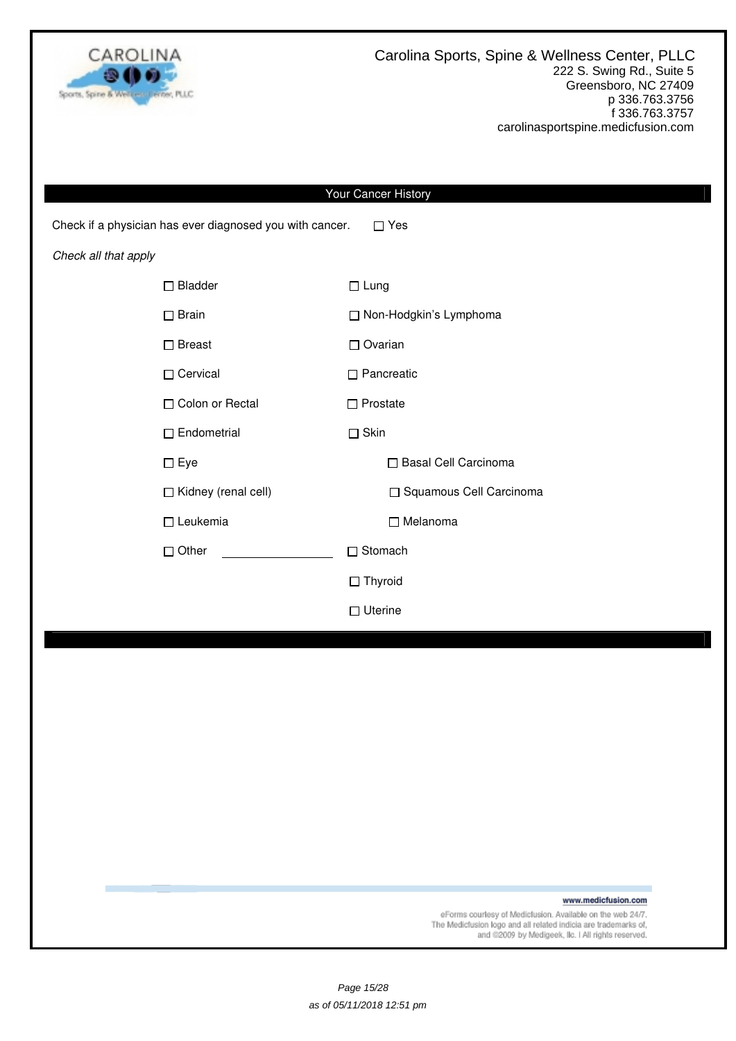

|                                                          | Your Cancer History       |  |  |  |
|----------------------------------------------------------|---------------------------|--|--|--|
| Check if a physician has ever diagnosed you with cancer. | $\Box$ Yes                |  |  |  |
| Check all that apply                                     |                           |  |  |  |
| $\Box$ Bladder                                           | $\Box$ Lung               |  |  |  |
| $\square$ Brain                                          | □ Non-Hodgkin's Lymphoma  |  |  |  |
| $\square$ Breast                                         | $\Box$ Ovarian            |  |  |  |
| □ Cervical                                               | $\Box$ Pancreatic         |  |  |  |
| □ Colon or Rectal                                        | $\Box$ Prostate           |  |  |  |
| $\Box$ Endometrial                                       | $\Box$ Skin               |  |  |  |
| $\square$ Eye                                            | □ Basal Cell Carcinoma    |  |  |  |
| □ Kidney (renal cell)                                    | □ Squamous Cell Carcinoma |  |  |  |
| $\square$ Leukemia                                       | □ Melanoma                |  |  |  |
| $\Box$ Other                                             | $\Box$ Stomach            |  |  |  |
|                                                          | $\Box$ Thyroid            |  |  |  |
|                                                          | $\Box$ Uterine            |  |  |  |
|                                                          |                           |  |  |  |
|                                                          |                           |  |  |  |
|                                                          |                           |  |  |  |
|                                                          |                           |  |  |  |
|                                                          |                           |  |  |  |
|                                                          |                           |  |  |  |

www.medicfusion.com

eForms courtesy of Medicfusion. Available on the web 24/7.<br>The Medicfusion logo and all related indicia are trademarks of,<br>and @2009 by Medigeek, IIc. I All rights reserved.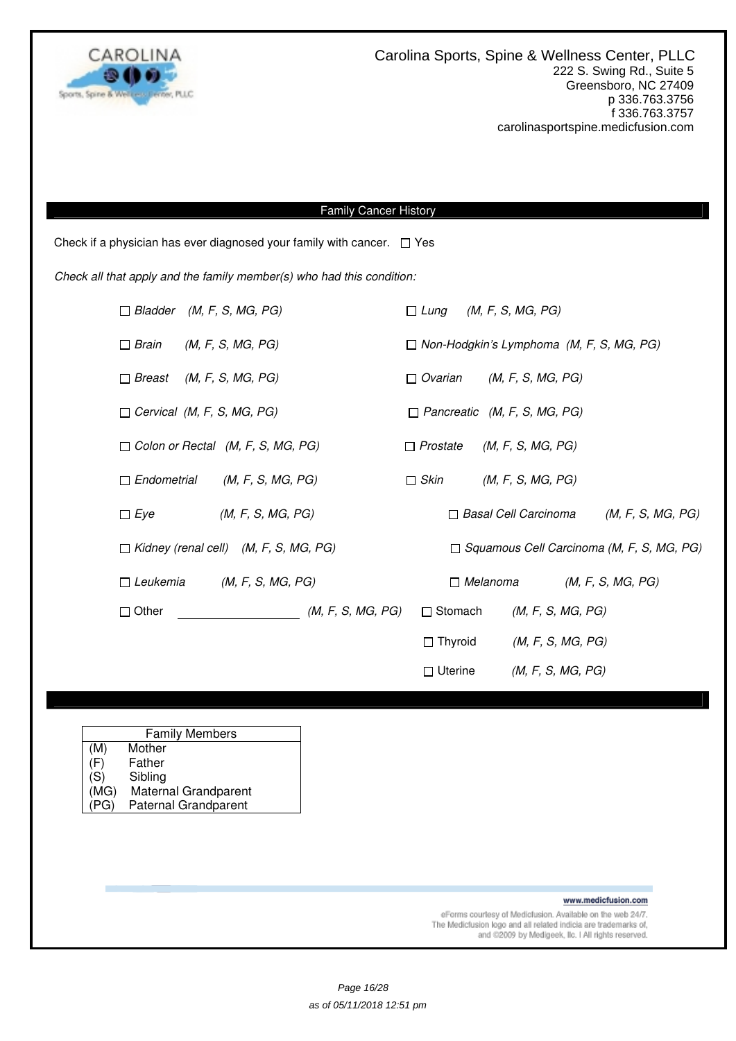

### Family Cancer History

Check if a physician has ever diagnosed your family with cancer.  $\Box$  Yes

Check all that apply and the family member(s) who had this condition:

| $\Box$ Bladder (M, F, S, MG, PG)  |                                              |                   | $\Box$ Lung     | (M, F, S, MG, PG)                                |                   |  |
|-----------------------------------|----------------------------------------------|-------------------|-----------------|--------------------------------------------------|-------------------|--|
| $\Box$ Brain                      | (M, F, S, MG, PG)                            |                   |                 | $\Box$ Non-Hodgkin's Lymphoma (M, F, S, MG, PG)  |                   |  |
| $\Box$ Breast                     | (M, F, S, MG, PG)                            |                   | $\Box$ Ovarian  | (M, F, S, MG, PG)                                |                   |  |
| $\Box$ Cervical (M, F, S, MG, PG) |                                              |                   |                 | $\Box$ Pancreatic (M, F, S, MG, PG)              |                   |  |
|                                   | $\Box$ Colon or Rectal (M, F, S, MG, PG)     |                   | $\Box$ Prostate | (M, F, S, MG, PG)                                |                   |  |
| $\Box$ Endometrial                | (M, F, S, MG, PG)                            |                   | $\Box$ Skin     | (M, F, S, MG, PG)                                |                   |  |
| $\Box$ Eye                        | (M, F, S, MG, PG)                            |                   |                 | $\Box$ Basal Cell Carcinoma                      | (M, F, S, MG, PG) |  |
|                                   | $\Box$ Kidney (renal cell) (M, F, S, MG, PG) |                   |                 | $\Box$ Squamous Cell Carcinoma (M, F, S, MG, PG) |                   |  |
| $\Box$ Leukemia                   | (M, F, S, MG, PG)                            |                   |                 | $\Box$ Melanoma                                  | (M, F, S, MG, PG) |  |
| $\Box$ Other                      |                                              | (M, F, S, MG, PG) | $\Box$ Stomach  | (M, F, S, MG, PG)                                |                   |  |
|                                   |                                              |                   | $\Box$ Thyroid  | (M, F, S, MG, PG)                                |                   |  |
|                                   |                                              |                   | $\Box$ Uterine  | (M, F, S, MG, PG)                                |                   |  |

|      | <b>Family Members</b>       |  |  |  |
|------|-----------------------------|--|--|--|
| (M)  | Mother                      |  |  |  |
| (F)  | Father                      |  |  |  |
| (S)  | Sibling                     |  |  |  |
| (MG) | Maternal Grandparent        |  |  |  |
| PG)  | <b>Paternal Grandparent</b> |  |  |  |

www.medicfusion.com

eForms courtesy of Medicfusion. Available on the web 24/7. The Medictusion logo and all related indicia are trademarks of,<br>and @2009 by Medigeek, Ilc. I All rights reserved.

Page 16/28 as of 05/11/2018 12:51 pm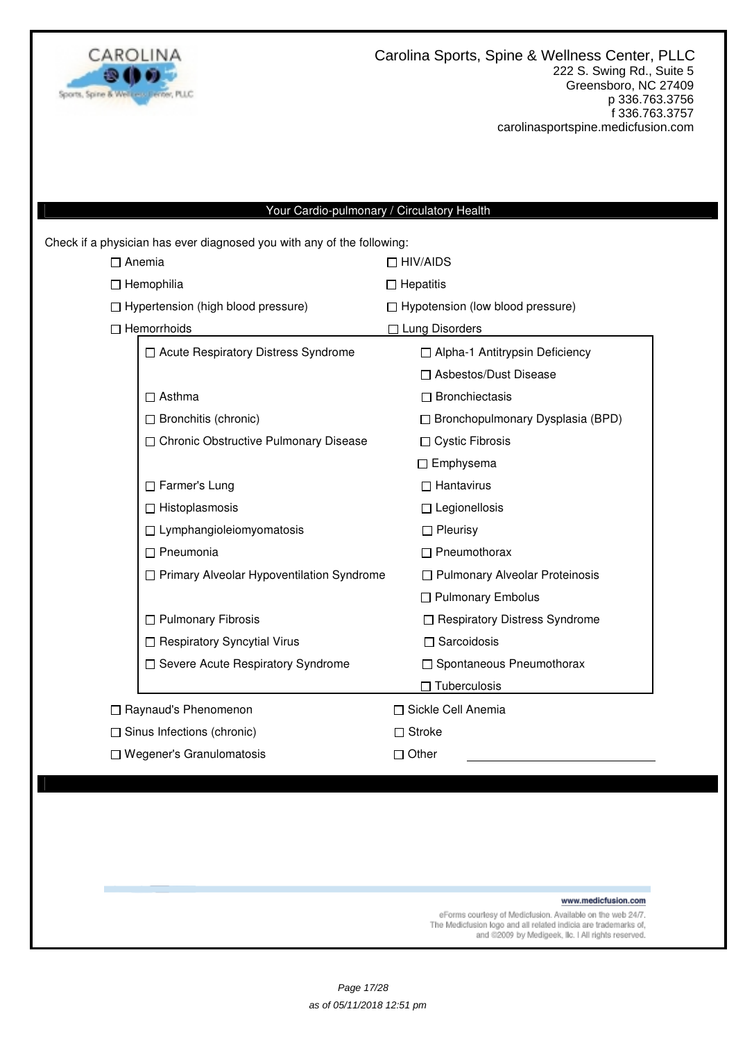

# Your Cardio-pulmonary / Circulatory Health

|                        | Check if a physician has ever diagnosed you with any of the following: |                                         |  |  |  |
|------------------------|------------------------------------------------------------------------|-----------------------------------------|--|--|--|
|                        | $\Box$ Anemia                                                          | $\Box$ HIV/AIDS                         |  |  |  |
|                        | $\Box$ Hemophilia                                                      | $\Box$ Hepatitis                        |  |  |  |
|                        | $\Box$ Hypertension (high blood pressure)                              | $\Box$ Hypotension (low blood pressure) |  |  |  |
|                        | $\Box$ Hemorrhoids                                                     | □ Lung Disorders                        |  |  |  |
|                        | □ Acute Respiratory Distress Syndrome                                  | □ Alpha-1 Antitrypsin Deficiency        |  |  |  |
|                        |                                                                        | □ Asbestos/Dust Disease                 |  |  |  |
|                        | $\Box$ Asthma                                                          | $\Box$ Bronchiectasis                   |  |  |  |
|                        | $\Box$ Bronchitis (chronic)                                            | $\Box$ Bronchopulmonary Dysplasia (BPD) |  |  |  |
|                        | □ Chronic Obstructive Pulmonary Disease                                | □ Cystic Fibrosis                       |  |  |  |
|                        |                                                                        | $\Box$ Emphysema                        |  |  |  |
|                        | $\Box$ Farmer's Lung                                                   | $\Box$ Hantavirus                       |  |  |  |
|                        | $\Box$ Histoplasmosis                                                  | $\Box$ Legionellosis                    |  |  |  |
|                        | $\Box$ Lymphangioleiomyomatosis                                        | $\Box$ Pleurisy                         |  |  |  |
|                        | $\Box$ Pneumonia                                                       | $\Box$ Pneumothorax                     |  |  |  |
|                        | □ Primary Alveolar Hypoventilation Syndrome                            | □ Pulmonary Alveolar Proteinosis        |  |  |  |
|                        |                                                                        | □ Pulmonary Embolus                     |  |  |  |
|                        | $\Box$ Pulmonary Fibrosis                                              | □ Respiratory Distress Syndrome         |  |  |  |
|                        | □ Respiratory Syncytial Virus                                          | $\Box$ Sarcoidosis                      |  |  |  |
|                        | □ Severe Acute Respiratory Syndrome                                    | $\Box$ Spontaneous Pneumothorax         |  |  |  |
|                        |                                                                        | $\Box$ Tuberculosis                     |  |  |  |
| □ Raynaud's Phenomenon |                                                                        | □ Sickle Cell Anemia                    |  |  |  |
|                        | $\Box$ Sinus Infections (chronic)                                      | $\Box$ Stroke                           |  |  |  |
|                        | $\Box$ Wegener's Granulomatosis                                        | Other                                   |  |  |  |
|                        |                                                                        |                                         |  |  |  |

www.medicfusion.com

eForms courtesy of Medicfusion. Available on the web 24/7.<br>The Medicfusion logo and all related indicia are trademarks of,<br>and @2009 by Medigeek, Ilc. I All rights reserved.

Page 17/28 as of 05/11/2018 12:51 pm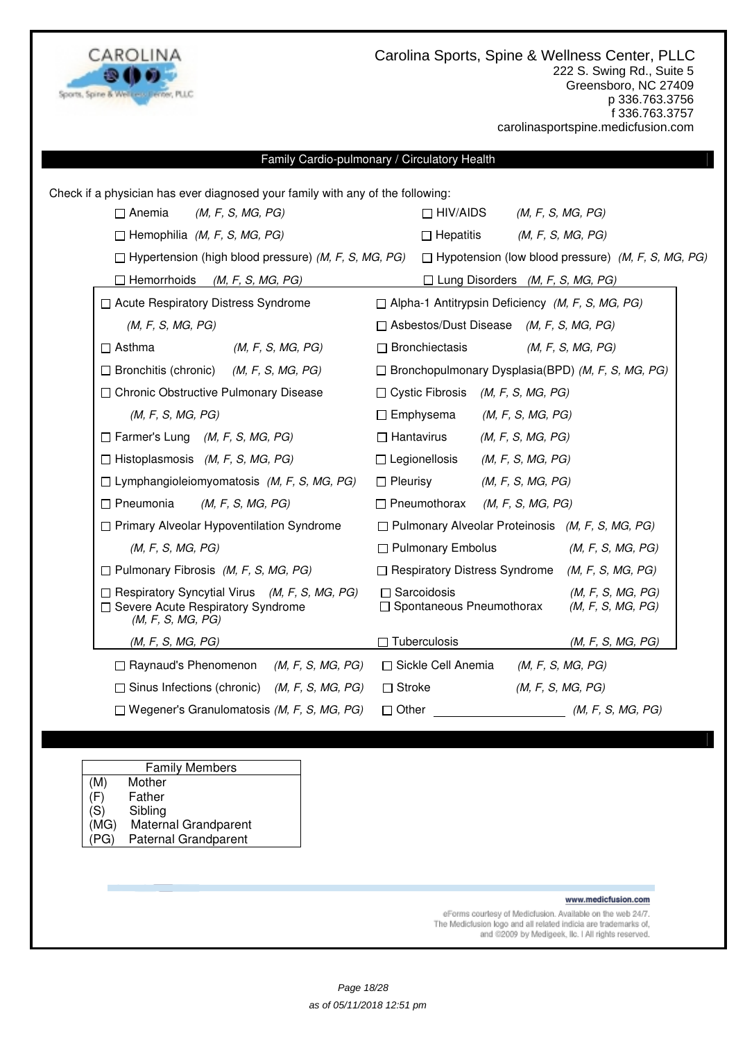

### Family Cardio-pulmonary / Circulatory Health

| Check if a physician has ever diagnosed your family with any of the following:                                   |                                                                                            |  |  |  |
|------------------------------------------------------------------------------------------------------------------|--------------------------------------------------------------------------------------------|--|--|--|
| (M, F, S, MG, PG)<br>$\Box$ Anemia                                                                               | $\Box$ HIV/AIDS<br>(M, F, S, MG, PG)                                                       |  |  |  |
| $\Box$ Hemophilia (M, F, S, MG, PG)                                                                              | $\Box$ Hepatitis<br>(M, F, S, MG, PG)                                                      |  |  |  |
| $\Box$ Hypertension (high blood pressure) ( <i>M, F, S, MG, PG</i> )                                             | $\Box$ Hypotension (low blood pressure) (M, F, S, MG, PG)                                  |  |  |  |
| $\Box$ Hemorrhoids (M, F, S, MG, PG)                                                                             | $\Box$ Lung Disorders (M, F, S, MG, PG)                                                    |  |  |  |
| □ Acute Respiratory Distress Syndrome                                                                            | $\Box$ Alpha-1 Antitrypsin Deficiency (M, F, S, MG, PG)                                    |  |  |  |
| (M, F, S, MG, PG)                                                                                                | $\Box$ Asbestos/Dust Disease (M, F, S, MG, PG)                                             |  |  |  |
| $\Box$ Asthma<br>(M, F, S, MG, PG)                                                                               | □ Bronchiectasis<br>(M, F, S, MG, PG)                                                      |  |  |  |
| $\Box$ Bronchitis (chronic) (M, F, S, MG, PG)                                                                    | $\Box$ Bronchopulmonary Dysplasia(BPD) (M, F, S, MG, PG)                                   |  |  |  |
| □ Chronic Obstructive Pulmonary Disease                                                                          | $\Box$ Cystic Fibrosis <i>(M, F, S, MG, PG)</i>                                            |  |  |  |
| (M, F, S, MG, PG)                                                                                                | $\Box$ Emphysema<br>(M, F, S, MG, PG)                                                      |  |  |  |
| $\Box$ Farmer's Lung (M, F, S, MG, PG)                                                                           | $\Box$ Hantavirus<br>(M, F, S, MG, PG)                                                     |  |  |  |
| $\Box$ Histoplasmosis (M, F, S, MG, PG)                                                                          | $\Box$ Legionellosis<br>(M, F, S, MG, PG)                                                  |  |  |  |
| $\Box$ Lymphangioleiomyomatosis (M, F, S, MG, PG)                                                                | $\Box$ Pleurisy<br>(M, F, S, MG, PG)                                                       |  |  |  |
| $\Box$ Pneumonia<br>(M, F, S, MG, PG)                                                                            | $\Box$ Pneumothorax (M, F, S, MG, PG)                                                      |  |  |  |
| $\Box$ Primary Alveolar Hypoventilation Syndrome                                                                 | $\Box$ Pulmonary Alveolar Proteinosis (M, F, S, MG, PG)                                    |  |  |  |
| (M, F, S, MG, PG)                                                                                                | □ Pulmonary Embolus<br>(M, F, S, MG, PG)                                                   |  |  |  |
| $\Box$ Pulmonary Fibrosis (M, F, S, MG, PG)                                                                      | $\Box$ Respiratory Distress Syndrome (M, F, S, MG, PG)                                     |  |  |  |
| $\Box$ Respiratory Syncytial Virus (M, F, S, MG, PG)<br>□ Severe Acute Respiratory Syndrome<br>(M, F, S, MG, PG) | $\Box$ Sarcoidosis<br>(M, F, S, MG, PG)<br>□ Spontaneous Pneumothorax<br>(M, F, S, MG, PG) |  |  |  |
| (M, F, S, MG, PG)                                                                                                | $\Box$ Tuberculosis<br>(M, F, S, MG, PG)                                                   |  |  |  |
| $\Box$ Raynaud's Phenomenon (M, F, S, MG, PG)                                                                    | □ Sickle Cell Anemia<br>(M, F, S, MG, PG)                                                  |  |  |  |
| $\Box$ Sinus Infections (chronic) (M, F, S, MG, PG)                                                              | $\Box$ Stroke<br>(M, F, S, MG, PG)                                                         |  |  |  |
| $\Box$ Wegener's Granulomatosis ( <i>M, F, S, MG, PG</i> )                                                       | $\Box$ Other<br>(M, F, S, MG, PG)                                                          |  |  |  |

# Family Members

- (M) Mother<br>(F) Father
- (F) Father
- (S) Sibling<br>(MG) Matern Maternal Grandparent
- (PG) Paternal Grandparent

#### www.medicfusion.com

eForms courtesy of Medicfusion. Available on the web 24/7. The Medicfusion logo and all related indicia are trademarks of, and @2009 by Medigeek, Ilc. I All rights reserved.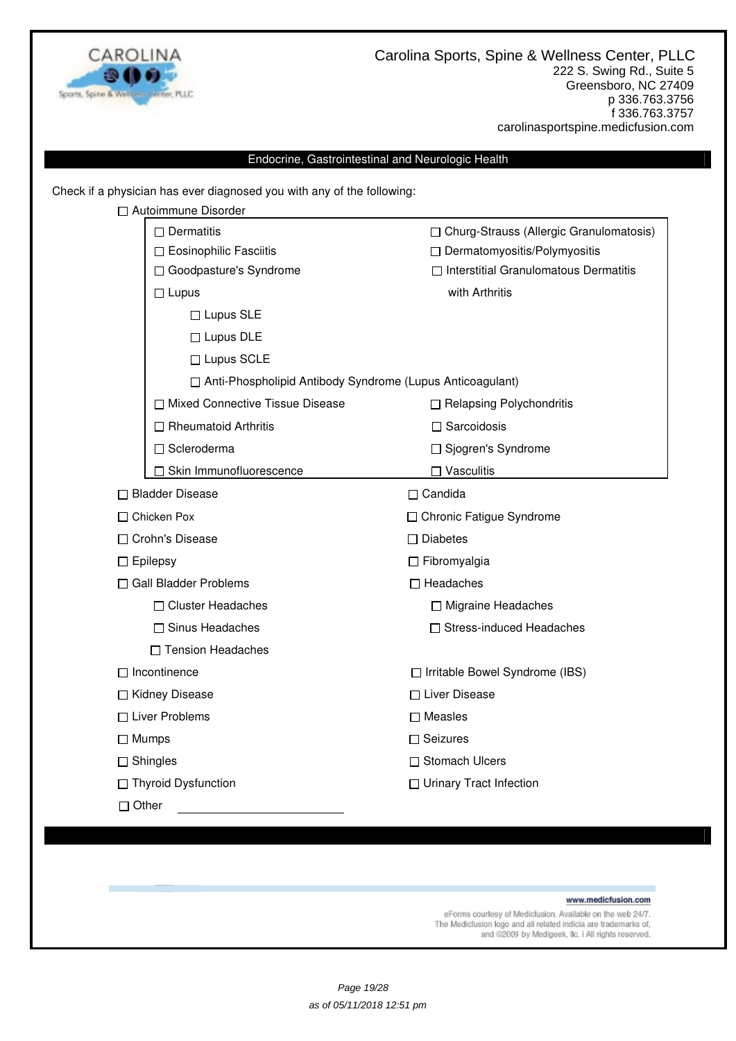

### Endocrine, Gastrointestinal and Neurologic Health

Check if a physician has ever diagnosed you with any of the following:

| □ Autoimmune Disorder                                       |                                                                                |  |  |
|-------------------------------------------------------------|--------------------------------------------------------------------------------|--|--|
| $\Box$ Dermatitis                                           | □ Churg-Strauss (Allergic Granulomatosis)                                      |  |  |
| □ Eosinophilic Fasciitis                                    | □ Dermatomyositis/Polymyositis<br>$\Box$ Interstitial Granulomatous Dermatitis |  |  |
| □ Goodpasture's Syndrome                                    |                                                                                |  |  |
| $\Box$ Lupus                                                | with Arthritis                                                                 |  |  |
| $\Box$ Lupus SLE                                            |                                                                                |  |  |
| $\Box$ Lupus DLE                                            |                                                                                |  |  |
| □ Lupus SCLE                                                |                                                                                |  |  |
| □ Anti-Phospholipid Antibody Syndrome (Lupus Anticoagulant) |                                                                                |  |  |
| □ Mixed Connective Tissue Disease                           | □ Relapsing Polychondritis                                                     |  |  |
| $\Box$ Rheumatoid Arthritis                                 | $\Box$ Sarcoidosis                                                             |  |  |
| □ Scleroderma                                               | □ Sjogren's Syndrome                                                           |  |  |
| □ Skin Immunofluorescence                                   | $\Box$ Vasculitis                                                              |  |  |
| □ Bladder Disease                                           | $\Box$ Candida                                                                 |  |  |
| □ Chicken Pox                                               | □ Chronic Fatigue Syndrome                                                     |  |  |
| □ Crohn's Disease                                           | $\Box$ Diabetes                                                                |  |  |
| $\Box$ Epilepsy                                             | $\Box$ Fibromyalgia                                                            |  |  |
| □ Gall Bladder Problems                                     | $\Box$ Headaches                                                               |  |  |
| □ Cluster Headaches                                         | □ Migraine Headaches                                                           |  |  |
| □ Sinus Headaches                                           | □ Stress-induced Headaches                                                     |  |  |
| □ Tension Headaches                                         |                                                                                |  |  |
| $\Box$ Incontinence                                         | □ Irritable Bowel Syndrome (IBS)                                               |  |  |
| □ Kidney Disease                                            | □ Liver Disease                                                                |  |  |
| $\Box$ Liver Problems                                       | $\square$ Measles                                                              |  |  |
| $\Box$ Mumps                                                | $\Box$ Seizures                                                                |  |  |
| $\Box$ Shingles                                             | □ Stomach Ulcers                                                               |  |  |
| □ Thyroid Dysfunction                                       | □ Urinary Tract Infection                                                      |  |  |
| $\Box$ Other                                                |                                                                                |  |  |

#### www.medicfusion.com

eForms courtesy of Medicfusion. Available on the web 24/7.<br>The Medicfusion logo and all related indicia are trademarks of, and @2009 by Medigeek, Ilc. I All rights reserved.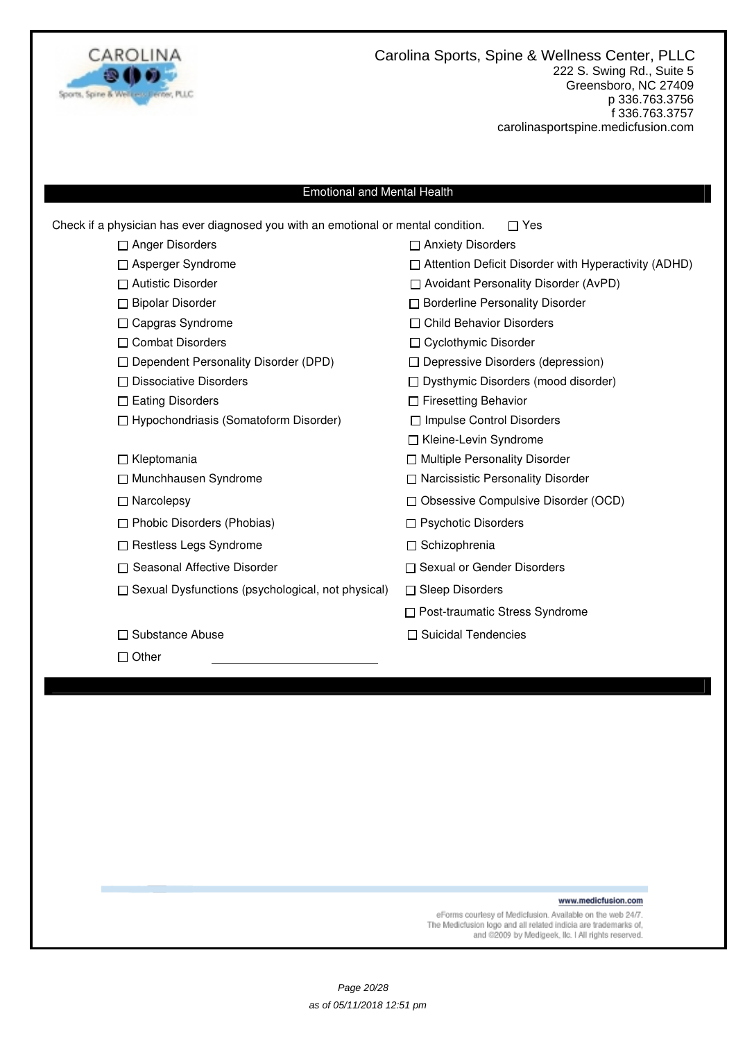

#### Emotional and Mental Health

| $\Box$ Anger Disorders<br>□ Anxiety Disorders<br>□ Attention Deficit Disorder with Hyperactivity (ADHD)<br>□ Asperger Syndrome<br>$\Box$ Autistic Disorder<br>□ Avoidant Personality Disorder (AvPD)<br>□ Bipolar Disorder<br>□ Borderline Personality Disorder<br>$\Box$ Child Behavior Disorders<br>□ Capgras Syndrome<br>□ Combat Disorders<br>□ Cyclothymic Disorder<br>$\Box$ Dependent Personality Disorder (DPD)<br>$\Box$ Depressive Disorders (depression)<br>$\Box$ Dissociative Disorders<br>$\Box$ Dysthymic Disorders (mood disorder)<br>$\Box$ Eating Disorders<br>□ Firesetting Behavior<br>$\Box$ Hypochondriasis (Somatoform Disorder)<br>□ Impulse Control Disorders<br>□ Kleine-Levin Syndrome<br>□ Multiple Personality Disorder<br>$\Box$ Kleptomania<br>□ Munchhausen Syndrome<br>□ Narcissistic Personality Disorder<br>$\Box$ Narcolepsy<br>□ Obsessive Compulsive Disorder (OCD)<br>$\Box$ Phobic Disorders (Phobias)<br>$\Box$ Psychotic Disorders<br>$\Box$ Restless Legs Syndrome<br>□ Schizophrenia<br>□ Seasonal Affective Disorder<br>□ Sexual or Gender Disorders<br>$\Box$ Sexual Dysfunctions (psychological, not physical)<br>$\Box$ Sleep Disorders<br>□ Post-traumatic Stress Syndrome<br>□ Suicidal Tendencies<br>□ Substance Abuse<br>$\Box$ Other | Check if a physician has ever diagnosed you with an emotional or mental condition. | Yes |
|-------------------------------------------------------------------------------------------------------------------------------------------------------------------------------------------------------------------------------------------------------------------------------------------------------------------------------------------------------------------------------------------------------------------------------------------------------------------------------------------------------------------------------------------------------------------------------------------------------------------------------------------------------------------------------------------------------------------------------------------------------------------------------------------------------------------------------------------------------------------------------------------------------------------------------------------------------------------------------------------------------------------------------------------------------------------------------------------------------------------------------------------------------------------------------------------------------------------------------------------------------------------------------------------|------------------------------------------------------------------------------------|-----|
|                                                                                                                                                                                                                                                                                                                                                                                                                                                                                                                                                                                                                                                                                                                                                                                                                                                                                                                                                                                                                                                                                                                                                                                                                                                                                           |                                                                                    |     |
|                                                                                                                                                                                                                                                                                                                                                                                                                                                                                                                                                                                                                                                                                                                                                                                                                                                                                                                                                                                                                                                                                                                                                                                                                                                                                           |                                                                                    |     |
|                                                                                                                                                                                                                                                                                                                                                                                                                                                                                                                                                                                                                                                                                                                                                                                                                                                                                                                                                                                                                                                                                                                                                                                                                                                                                           |                                                                                    |     |
|                                                                                                                                                                                                                                                                                                                                                                                                                                                                                                                                                                                                                                                                                                                                                                                                                                                                                                                                                                                                                                                                                                                                                                                                                                                                                           |                                                                                    |     |
|                                                                                                                                                                                                                                                                                                                                                                                                                                                                                                                                                                                                                                                                                                                                                                                                                                                                                                                                                                                                                                                                                                                                                                                                                                                                                           |                                                                                    |     |
|                                                                                                                                                                                                                                                                                                                                                                                                                                                                                                                                                                                                                                                                                                                                                                                                                                                                                                                                                                                                                                                                                                                                                                                                                                                                                           |                                                                                    |     |
|                                                                                                                                                                                                                                                                                                                                                                                                                                                                                                                                                                                                                                                                                                                                                                                                                                                                                                                                                                                                                                                                                                                                                                                                                                                                                           |                                                                                    |     |
|                                                                                                                                                                                                                                                                                                                                                                                                                                                                                                                                                                                                                                                                                                                                                                                                                                                                                                                                                                                                                                                                                                                                                                                                                                                                                           |                                                                                    |     |
|                                                                                                                                                                                                                                                                                                                                                                                                                                                                                                                                                                                                                                                                                                                                                                                                                                                                                                                                                                                                                                                                                                                                                                                                                                                                                           |                                                                                    |     |
|                                                                                                                                                                                                                                                                                                                                                                                                                                                                                                                                                                                                                                                                                                                                                                                                                                                                                                                                                                                                                                                                                                                                                                                                                                                                                           |                                                                                    |     |
|                                                                                                                                                                                                                                                                                                                                                                                                                                                                                                                                                                                                                                                                                                                                                                                                                                                                                                                                                                                                                                                                                                                                                                                                                                                                                           |                                                                                    |     |
|                                                                                                                                                                                                                                                                                                                                                                                                                                                                                                                                                                                                                                                                                                                                                                                                                                                                                                                                                                                                                                                                                                                                                                                                                                                                                           |                                                                                    |     |
|                                                                                                                                                                                                                                                                                                                                                                                                                                                                                                                                                                                                                                                                                                                                                                                                                                                                                                                                                                                                                                                                                                                                                                                                                                                                                           |                                                                                    |     |
|                                                                                                                                                                                                                                                                                                                                                                                                                                                                                                                                                                                                                                                                                                                                                                                                                                                                                                                                                                                                                                                                                                                                                                                                                                                                                           |                                                                                    |     |
|                                                                                                                                                                                                                                                                                                                                                                                                                                                                                                                                                                                                                                                                                                                                                                                                                                                                                                                                                                                                                                                                                                                                                                                                                                                                                           |                                                                                    |     |
|                                                                                                                                                                                                                                                                                                                                                                                                                                                                                                                                                                                                                                                                                                                                                                                                                                                                                                                                                                                                                                                                                                                                                                                                                                                                                           |                                                                                    |     |
|                                                                                                                                                                                                                                                                                                                                                                                                                                                                                                                                                                                                                                                                                                                                                                                                                                                                                                                                                                                                                                                                                                                                                                                                                                                                                           |                                                                                    |     |
|                                                                                                                                                                                                                                                                                                                                                                                                                                                                                                                                                                                                                                                                                                                                                                                                                                                                                                                                                                                                                                                                                                                                                                                                                                                                                           |                                                                                    |     |
|                                                                                                                                                                                                                                                                                                                                                                                                                                                                                                                                                                                                                                                                                                                                                                                                                                                                                                                                                                                                                                                                                                                                                                                                                                                                                           |                                                                                    |     |
|                                                                                                                                                                                                                                                                                                                                                                                                                                                                                                                                                                                                                                                                                                                                                                                                                                                                                                                                                                                                                                                                                                                                                                                                                                                                                           |                                                                                    |     |
|                                                                                                                                                                                                                                                                                                                                                                                                                                                                                                                                                                                                                                                                                                                                                                                                                                                                                                                                                                                                                                                                                                                                                                                                                                                                                           |                                                                                    |     |
|                                                                                                                                                                                                                                                                                                                                                                                                                                                                                                                                                                                                                                                                                                                                                                                                                                                                                                                                                                                                                                                                                                                                                                                                                                                                                           |                                                                                    |     |

www.medicfusion.com

eForms courtesy of Medicfusion. Available on the web 24/7.<br>The Medicfusion logo and all related indicia are trademarks of,<br>and @2009 by Medigeek, Ilc. I All rights reserved.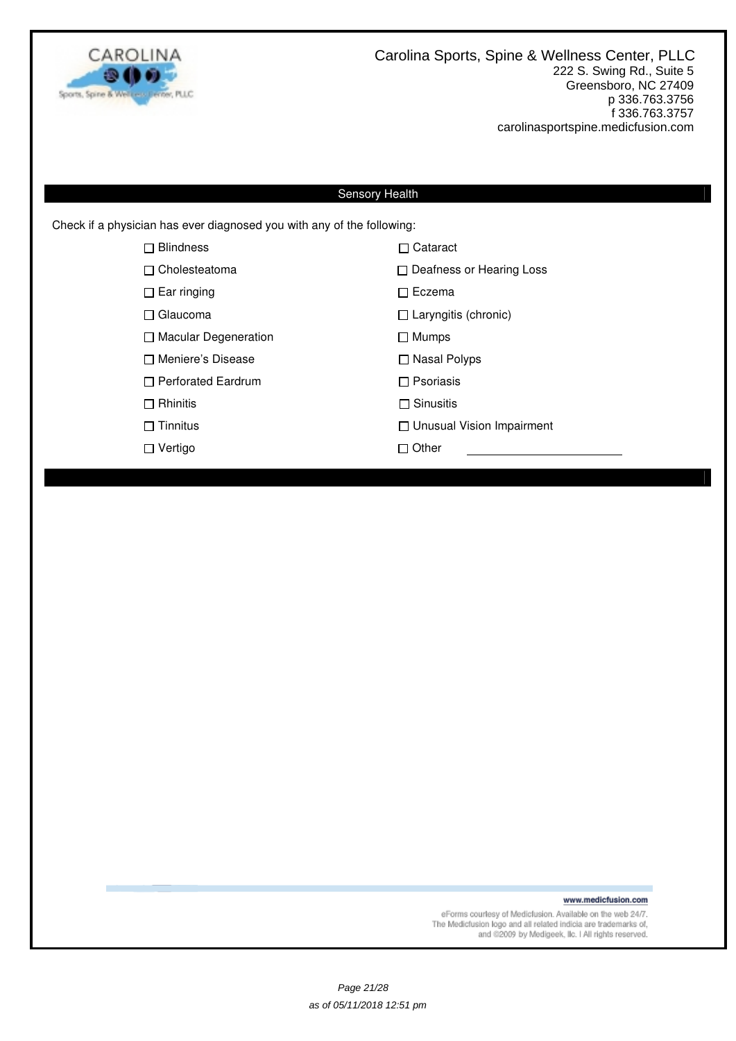

Check if a physician has ever diagnosed you with any of the following:

| $\Box$ Blindness            | □ Cataract                       |
|-----------------------------|----------------------------------|
| $\Box$ Cholesteatoma        | $\Box$ Deafness or Hearing Loss  |
| $\Box$ Ear ringing          | $\Box$ Eczema                    |
| $\Box$ Glaucoma             | $\Box$ Laryngitis (chronic)      |
| $\Box$ Macular Degeneration | $\Box$ Mumps                     |
| □ Meniere's Disease         | $\Box$ Nasal Polyps              |
| $\Box$ Perforated Eardrum   | $\Box$ Psoriasis                 |
| $\Box$ Rhinitis             | $\Box$ Sinusitis                 |
| $\Box$ Tinnitus             | $\Box$ Unusual Vision Impairment |
| $\Box$ Vertigo              | $\Box$ Other                     |
|                             |                                  |

www.medicfusion.com

eForms courtesy of Medicfusion. Available on the web 24/7.<br>The Medicfusion logo and all related indicia are trademarks of,<br>and @2009 by Medigeek, IIc. I All rights reserved.

Page 21/28 as of 05/11/2018 12:51 pm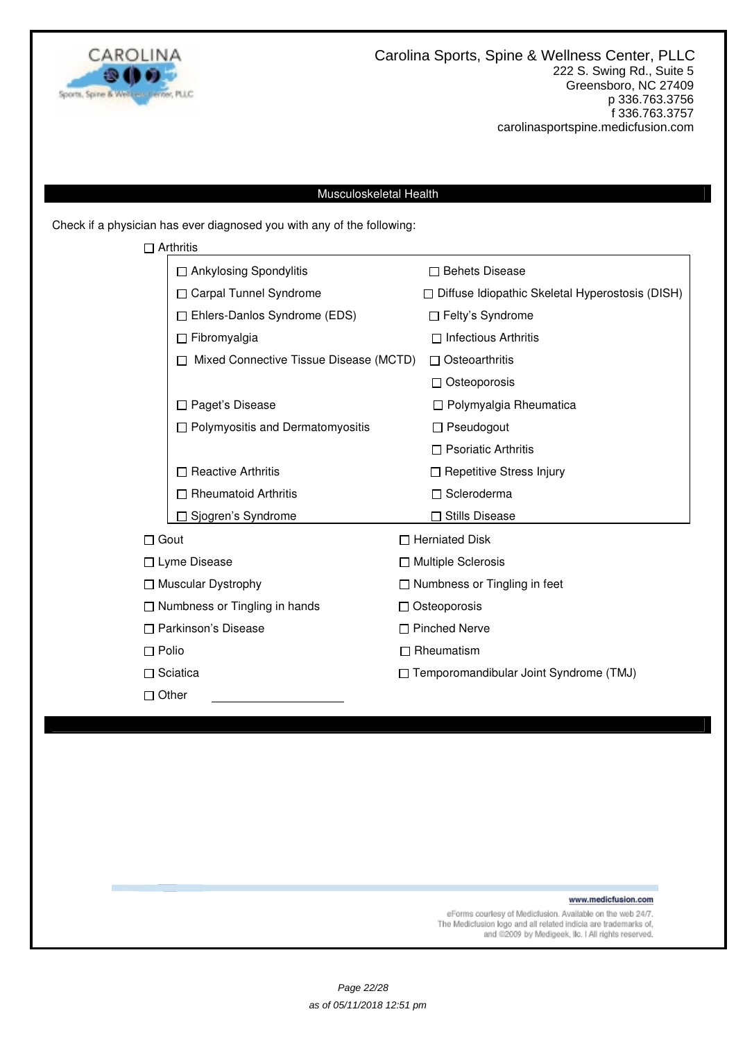

### Musculoskeletal Health

Check if a physician has ever diagnosed you with any of the following:

|                                                               | $\Box$ Arthritis                       |                                                        |
|---------------------------------------------------------------|----------------------------------------|--------------------------------------------------------|
|                                                               | □ Ankylosing Spondylitis               | $\Box$ Behets Disease                                  |
|                                                               | □ Carpal Tunnel Syndrome               | $\Box$ Diffuse Idiopathic Skeletal Hyperostosis (DISH) |
|                                                               | Ehlers-Danlos Syndrome (EDS)           | □ Felty's Syndrome                                     |
|                                                               | $\Box$ Fibromyalgia                    | $\Box$ Infectious Arthritis                            |
|                                                               | Mixed Connective Tissue Disease (MCTD) | $\Box$ Osteoarthritis                                  |
|                                                               |                                        | $\Box$ Osteoporosis                                    |
|                                                               | Paget's Disease                        | $\Box$ Polymyalgia Rheumatica                          |
|                                                               | □ Polymyositis and Dermatomyositis     | $\Box$ Pseudogout                                      |
|                                                               |                                        | $\Box$ Psoriatic Arthritis                             |
|                                                               | <b>Reactive Arthritis</b>              | □ Repetitive Stress Injury                             |
|                                                               | Rheumatoid Arthritis                   | □ Scleroderma                                          |
|                                                               | Sjogren's Syndrome                     | <b>Stills Disease</b>                                  |
| $\Box$ Gout                                                   |                                        | $\Box$ Herniated Disk                                  |
|                                                               | □ Lyme Disease                         | □ Multiple Sclerosis                                   |
|                                                               | $\Box$ Muscular Dystrophy              | $\Box$ Numbness or Tingling in feet                    |
| $\Box$ Numbness or Tingling in hands<br>□ Parkinson's Disease |                                        | $\Box$ Osteoporosis                                    |
|                                                               |                                        | □ Pinched Nerve                                        |
| $\Box$ Polio                                                  |                                        | $\Box$ Rheumatism                                      |
|                                                               | $\Box$ Sciatica                        | □ Temporomandibular Joint Syndrome (TMJ)               |
| $\Box$ Other                                                  |                                        |                                                        |

www.medicfusion.com

eForms courtesy of Medicfusion. Available on the web 24/7.<br>The Medicfusion logo and all related indicia are trademarks of, and @2009 by Medigeek, Ilc. I All rights reserved.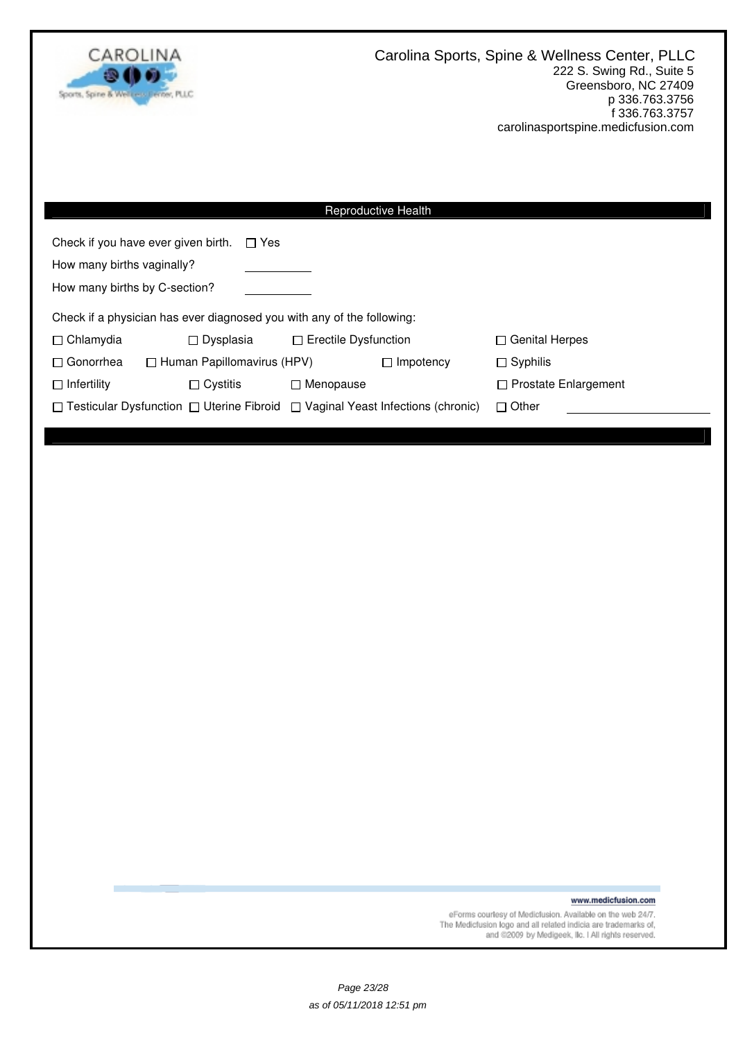

| Reproductive Health                                                                            |                                                                        |                             |                  |                             |  |
|------------------------------------------------------------------------------------------------|------------------------------------------------------------------------|-----------------------------|------------------|-----------------------------|--|
| Check if you have ever given birth.<br>$\Box$ Yes                                              |                                                                        |                             |                  |                             |  |
| How many births vaginally?                                                                     |                                                                        |                             |                  |                             |  |
| How many births by C-section?                                                                  |                                                                        |                             |                  |                             |  |
|                                                                                                | Check if a physician has ever diagnosed you with any of the following: |                             |                  |                             |  |
| $\Box$ Chlamydia                                                                               | $\Box$ Dysplasia                                                       | $\Box$ Erectile Dysfunction |                  | $\Box$ Genital Herpes       |  |
| $\Box$ Gonorrhea                                                                               | $\Box$ Human Papillomavirus (HPV)                                      |                             | $\Box$ Impotency | $\Box$ Syphilis             |  |
| $\Box$ Infertility<br>$\Box$ Cystitis                                                          |                                                                        | $\Box$ Menopause            |                  | $\Box$ Prostate Enlargement |  |
| $\Box$ Testicular Dysfunction $\Box$ Uterine Fibroid $\Box$ Vaginal Yeast Infections (chronic) |                                                                        |                             |                  | $\Box$ Other                |  |
|                                                                                                |                                                                        |                             |                  |                             |  |

www.medicfusion.com

eForms courtesy of Medicfusion. Available on the web 24/7.<br>The Medicfusion logo and all related indicia are trademarks of,<br>and @2009 by Medigeek, IIc. I All rights reserved.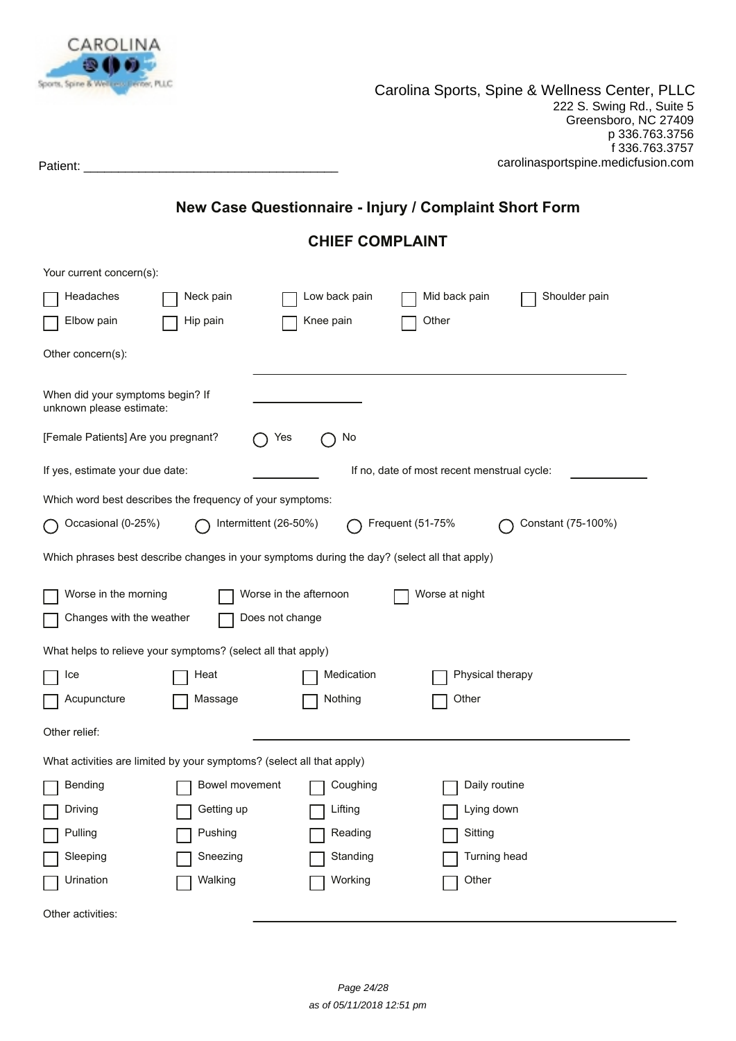

# **New Case Questionnaire - Injury / Complaint Short Form**

# **CHIEF COMPLAINT**

| Your current concern(s):                                                                     |                        |               |                                             |                    |
|----------------------------------------------------------------------------------------------|------------------------|---------------|---------------------------------------------|--------------------|
| Headaches                                                                                    | Neck pain              | Low back pain | Mid back pain                               | Shoulder pain      |
| Elbow pain                                                                                   | Hip pain               | Knee pain     | Other                                       |                    |
| Other concern(s):                                                                            |                        |               |                                             |                    |
| When did your symptoms begin? If<br>unknown please estimate:                                 |                        |               |                                             |                    |
| [Female Patients] Are you pregnant?                                                          | Yes                    | No            |                                             |                    |
| If yes, estimate your due date:                                                              |                        |               | If no, date of most recent menstrual cycle: |                    |
| Which word best describes the frequency of your symptoms:                                    |                        |               |                                             |                    |
| Occasional (0-25%)                                                                           | Intermittent (26-50%)  |               | Frequent (51-75%                            | Constant (75-100%) |
| Which phrases best describe changes in your symptoms during the day? (select all that apply) |                        |               |                                             |                    |
| Worse in the morning                                                                         | Worse in the afternoon |               | Worse at night                              |                    |
| Changes with the weather                                                                     | Does not change        |               |                                             |                    |
| What helps to relieve your symptoms? (select all that apply)                                 |                        |               |                                             |                    |
| Ice                                                                                          | Heat                   | Medication    | Physical therapy                            |                    |
| Acupuncture                                                                                  | Massage                | Nothing       | Other                                       |                    |
| Other relief:                                                                                |                        |               |                                             |                    |
| What activities are limited by your symptoms? (select all that apply)                        |                        |               |                                             |                    |
| Bending                                                                                      | Bowel movement         | Coughing      | Daily routine                               |                    |
| Driving                                                                                      | Getting up             | Lifting       | Lying down                                  |                    |
| Pulling                                                                                      | Pushing                | Reading       | Sitting                                     |                    |
| Sleeping                                                                                     | Sneezing               | Standing      | Turning head                                |                    |
| Urination                                                                                    | Walking                | Working       | Other                                       |                    |
| Other activities:                                                                            |                        |               |                                             |                    |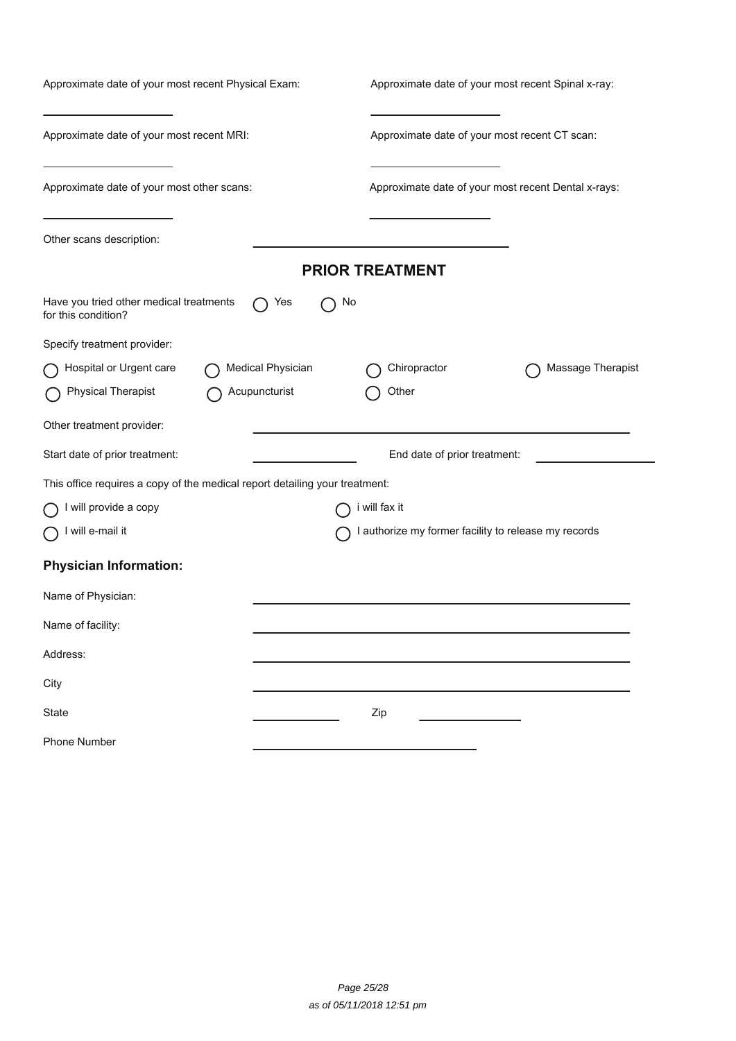| Approximate date of your most recent Physical Exam:                         | Approximate date of your most recent Spinal x-ray:   |  |  |  |
|-----------------------------------------------------------------------------|------------------------------------------------------|--|--|--|
| Approximate date of your most recent MRI:                                   | Approximate date of your most recent CT scan:        |  |  |  |
| Approximate date of your most other scans:                                  | Approximate date of your most recent Dental x-rays:  |  |  |  |
| Other scans description:                                                    |                                                      |  |  |  |
|                                                                             | <b>PRIOR TREATMENT</b>                               |  |  |  |
| Have you tried other medical treatments<br>Yes<br>for this condition?       | No                                                   |  |  |  |
| Specify treatment provider:                                                 |                                                      |  |  |  |
| Hospital or Urgent care<br>Medical Physician                                | Chiropractor<br>Massage Therapist                    |  |  |  |
| <b>Physical Therapist</b><br>Acupuncturist                                  | Other                                                |  |  |  |
| Other treatment provider:                                                   |                                                      |  |  |  |
| Start date of prior treatment:                                              | End date of prior treatment:                         |  |  |  |
| This office requires a copy of the medical report detailing your treatment: |                                                      |  |  |  |
| I will provide a copy                                                       | i will fax it                                        |  |  |  |
| will e-mail it                                                              | I authorize my former facility to release my records |  |  |  |
| <b>Physician Information:</b>                                               |                                                      |  |  |  |
| Name of Physician:                                                          |                                                      |  |  |  |
| Name of facility:                                                           |                                                      |  |  |  |
| Address:                                                                    |                                                      |  |  |  |
| City                                                                        |                                                      |  |  |  |
| State                                                                       | Zip                                                  |  |  |  |
| <b>Phone Number</b>                                                         |                                                      |  |  |  |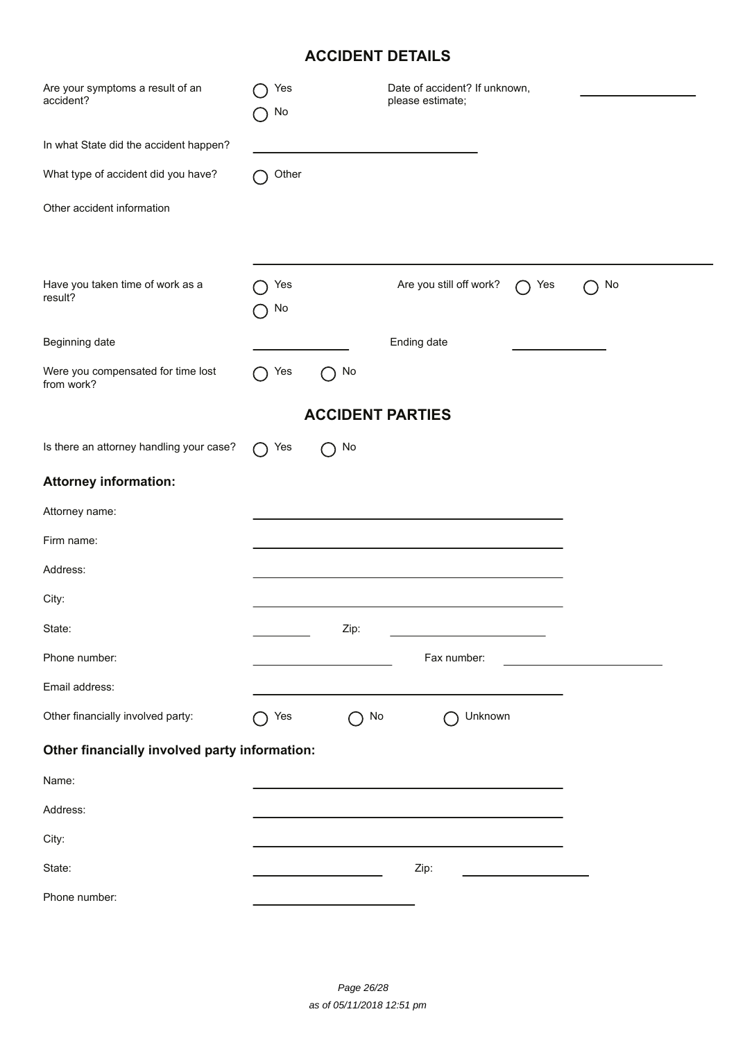# **ACCIDENT DETAILS**

| <b>ACCIDENT DETAILS</b>                          |           |      |                                                   |    |  |  |  |
|--------------------------------------------------|-----------|------|---------------------------------------------------|----|--|--|--|
| Are your symptoms a result of an<br>accident?    | Yes<br>No |      | Date of accident? If unknown,<br>please estimate; |    |  |  |  |
| In what State did the accident happen?           |           |      |                                                   |    |  |  |  |
| What type of accident did you have?              | Other     |      |                                                   |    |  |  |  |
| Other accident information                       |           |      |                                                   |    |  |  |  |
| Have you taken time of work as a<br>result?      | Yes<br>No |      | Are you still off work?<br>Yes                    | No |  |  |  |
| Beginning date                                   |           |      | Ending date                                       |    |  |  |  |
| Were you compensated for time lost<br>from work? | Yes       | No   |                                                   |    |  |  |  |
| <b>ACCIDENT PARTIES</b>                          |           |      |                                                   |    |  |  |  |
| Is there an attorney handling your case?         | Yes       | No   |                                                   |    |  |  |  |
| <b>Attorney information:</b>                     |           |      |                                                   |    |  |  |  |
| Attorney name:                                   |           |      |                                                   |    |  |  |  |
| Firm name:                                       |           |      |                                                   |    |  |  |  |
| Address:                                         |           |      |                                                   |    |  |  |  |
| City:                                            |           |      |                                                   |    |  |  |  |
| State:                                           |           | Zip: |                                                   |    |  |  |  |
| Phone number:                                    |           |      | Fax number:                                       |    |  |  |  |
| Email address:                                   |           |      |                                                   |    |  |  |  |
| Other financially involved party:                | Yes       | No   | Unknown                                           |    |  |  |  |
| Other financially involved party information:    |           |      |                                                   |    |  |  |  |
| Name:                                            |           |      |                                                   |    |  |  |  |
| Address:                                         |           |      |                                                   |    |  |  |  |
| City:                                            |           |      |                                                   |    |  |  |  |
| State:                                           |           |      | Zip:                                              |    |  |  |  |
| Phone number:                                    |           |      |                                                   |    |  |  |  |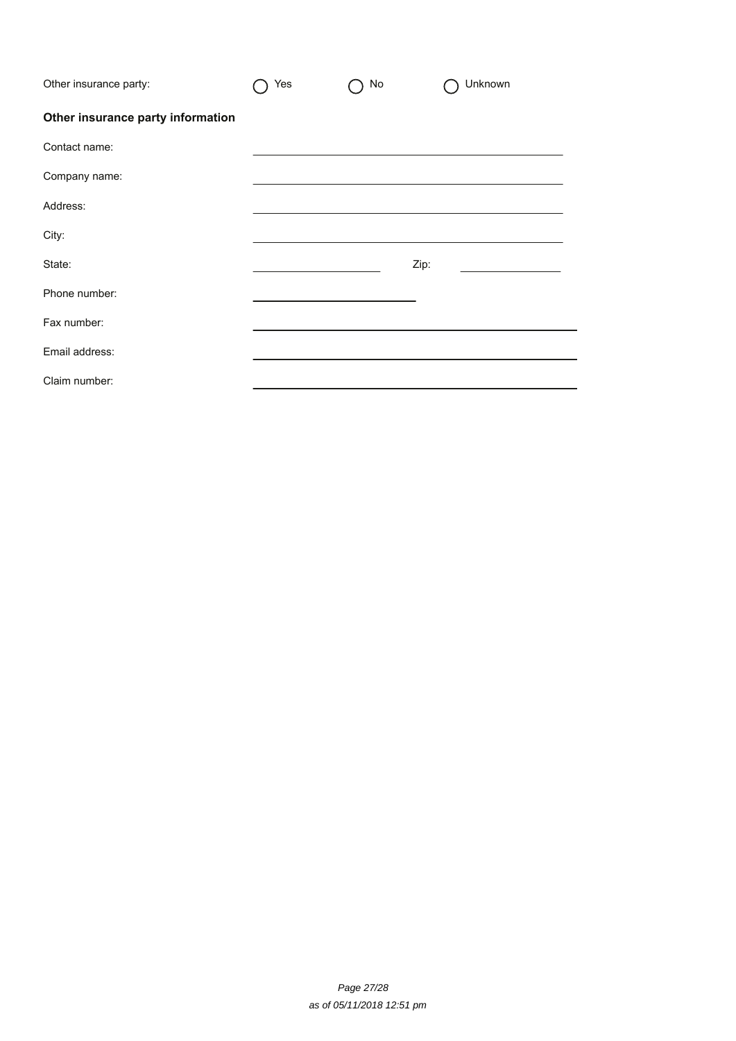| Other insurance party:            | Yes | No | Unknown |
|-----------------------------------|-----|----|---------|
| Other insurance party information |     |    |         |
| Contact name:                     |     |    |         |
| Company name:                     |     |    |         |
| Address:                          |     |    |         |
| City:                             |     |    |         |
| State:                            |     |    | Zip:    |
| Phone number:                     |     |    |         |
| Fax number:                       |     |    |         |
| Email address:                    |     |    |         |
| Claim number:                     |     |    |         |